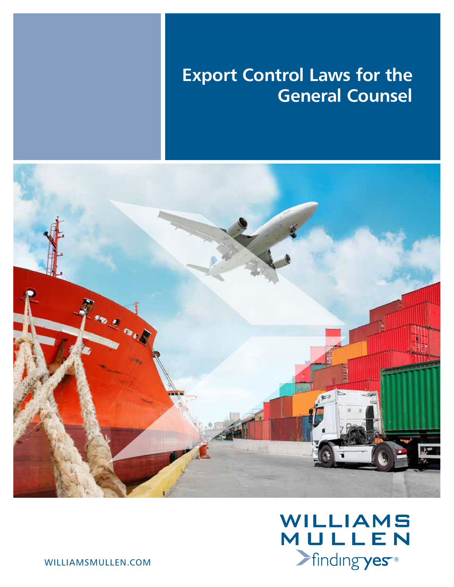# **Export Control Laws for the General Counsel**





williamsmullen.com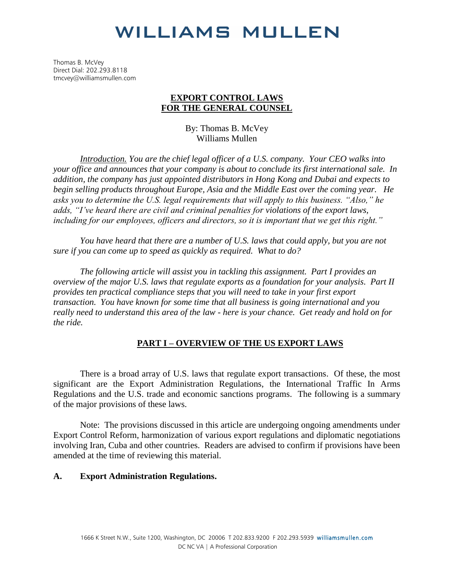Thomas B. McVey Direct Dial: 202.293.8118 tmcvey@williamsmullen.com

#### **EXPORT CONTROL LAWS FOR THE GENERAL COUNSEL**

By: Thomas B. McVey Williams Mullen

*Introduction. You are the chief legal officer of a U.S. company. Your CEO walks into your office and announces that your company is about to conclude its first international sale. In addition, the company has just appointed distributors in Hong Kong and Dubai and expects to begin selling products throughout Europe, Asia and the Middle East over the coming year. He asks you to determine the U.S. legal requirements that will apply to this business. "Also," he adds, "I've heard there are civil and criminal penalties for violations of the export laws, including for our employees, officers and directors, so it is important that we get this right."* 

*You have heard that there are a number of U.S. laws that could apply, but you are not sure if you can come up to speed as quickly as required. What to do?* 

*The following article will assist you in tackling this assignment. Part I provides an overview of the major U.S. laws that regulate exports as a foundation for your analysis. Part II provides ten practical compliance steps that you will need to take in your first export transaction. You have known for some time that all business is going international and you really need to understand this area of the law - here is your chance. Get ready and hold on for the ride.* 

#### **PART I – OVERVIEW OF THE US EXPORT LAWS**

There is a broad array of U.S. laws that regulate export transactions. Of these, the most significant are the Export Administration Regulations, the International Traffic In Arms Regulations and the U.S. trade and economic sanctions programs. The following is a summary of the major provisions of these laws.

Note: The provisions discussed in this article are undergoing ongoing amendments under Export Control Reform, harmonization of various export regulations and diplomatic negotiations involving Iran, Cuba and other countries. Readers are advised to confirm if provisions have been amended at the time of reviewing this material.

#### **A. Export Administration Regulations.**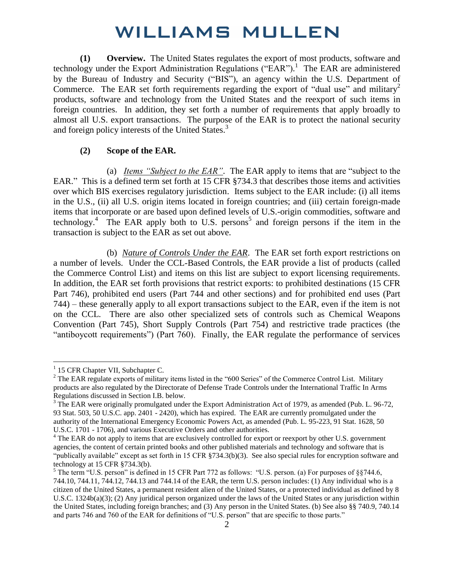**(1) Overview.** The United States regulates the export of most products, software and technology under the Export Administration Regulations ("EAR").<sup>1</sup> The EAR are administered by the Bureau of Industry and Security ("BIS"), an agency within the U.S. Department of Commerce. The EAR set forth requirements regarding the export of "dual use" and military<sup>2</sup> products, software and technology from the United States and the reexport of such items in foreign countries. In addition, they set forth a number of requirements that apply broadly to almost all U.S. export transactions. The purpose of the EAR is to protect the national security and foreign policy interests of the United States.<sup>3</sup>

#### **(2) Scope of the EAR.**

(a) *Items "Subject to the EAR"*. The EAR apply to items that are "subject to the EAR." This is a defined term set forth at 15 CFR §734.3 that describes those items and activities over which BIS exercises regulatory jurisdiction. Items subject to the EAR include: (i) all items in the U.S., (ii) all U.S. origin items located in foreign countries; and (iii) certain foreign-made items that incorporate or are based upon defined levels of U.S.-origin commodities, software and technology.<sup>4</sup> The EAR apply both to U.S. persons<sup>5</sup> and foreign persons if the item in the transaction is subject to the EAR as set out above.

(b) *Nature of Controls Under the EAR*. The EAR set forth export restrictions on a number of levels. Under the CCL-Based Controls, the EAR provide a list of products (called the Commerce Control List) and items on this list are subject to export licensing requirements. In addition, the EAR set forth provisions that restrict exports: to prohibited destinations (15 CFR Part 746), prohibited end users (Part 744 and other sections) and for prohibited end uses (Part 744) – these generally apply to all export transactions subject to the EAR, even if the item is not on the CCL. There are also other specialized sets of controls such as Chemical Weapons Convention (Part 745), Short Supply Controls (Part 754) and restrictive trade practices (the "antiboycott requirements") (Part 760). Finally, the EAR regulate the performance of services

<sup>&</sup>lt;sup>1</sup> 15 CFR Chapter VII, Subchapter C.

 $2^2$  The EAR regulate exports of military items listed in the "600 Series" of the Commerce Control List. Military products are also regulated by the Directorate of Defense Trade Controls under the International Traffic In Arms Regulations discussed in Section I.B. below.

<sup>&</sup>lt;sup>3</sup> The EAR were originally promulgated under the Export Administration Act of 1979, as amended (Pub. L. 96-72, 93 Stat. 503, 50 U.S.C. app. 2401 - 2420), which has expired. The EAR are currently promulgated under the authority of the International Emergency Economic Powers Act, as amended (Pub. L. 95-223, 91 Stat. 1628, 50 U.S.C. 1701 - 1706), and various Executive Orders and other authorities.

 $4$  The EAR do not apply to items that are exclusively controlled for export or reexport by other U.S. government agencies, the content of certain printed books and other published materials and technology and software that is "publically available" except as set forth in 15 CFR §734.3(b)(3). See also special rules for encryption software and technology at 15 CFR §734.3(b).

<sup>&</sup>lt;sup>5</sup> The term "U.S. person" is defined in 15 CFR Part 772 as follows: "U.S. person. (a) For purposes of §§744.6, 744.10, 744.11, 744.12, 744.13 and 744.14 of the EAR, the term U.S. person includes: (1) Any individual who is a citizen of the United States, a permanent resident alien of the United States, or a protected individual as defined by 8 U.S.C. 1324b(a)(3); (2) Any juridical person organized under the laws of the United States or any jurisdiction within the United States, including foreign branches; and (3) Any person in the United States. (b) See also §§ 740.9, 740.14 and parts 746 and 760 of the EAR for definitions of "U.S. person" that are specific to those parts."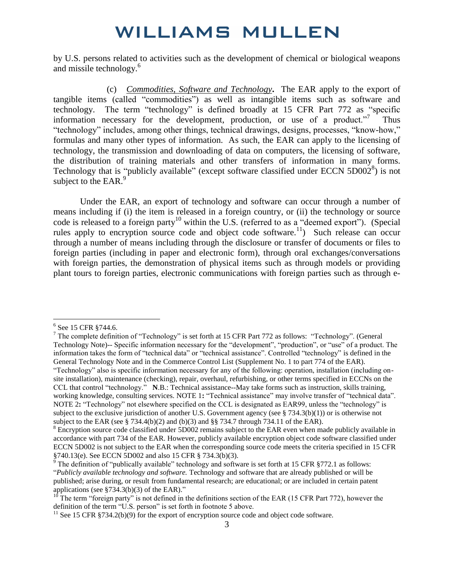by U.S. persons related to activities such as the development of chemical or biological weapons and missile technology.<sup>6</sup>

(c) *Commodities, Software and Technology***.** The EAR apply to the export of tangible items (called "commodities") as well as intangible items such as software and technology. The term "technology" is defined broadly at 15 CFR Part 772 as "specific information necessary for the development, production, or use of a product. $\overline{a}$  Thus "technology" includes, among other things, technical drawings, designs, processes, "know-how," formulas and many other types of information. As such, the EAR can apply to the licensing of technology, the transmission and downloading of data on computers, the licensing of software, the distribution of training materials and other transfers of information in many forms. Technology that is "publicly available" (except software classified under ECCN  $5D002^8$ ) is not subject to the EAR. $<sup>9</sup>$ </sup>

Under the EAR, an export of technology and software can occur through a number of means including if (i) the item is released in a foreign country, or (ii) the technology or source code is released to a foreign party<sup>10</sup> within the U.S. (referred to as a "deemed export"). (Special rules apply to encryption source code and object code software.<sup>11</sup>) Such release can occur through a number of means including through the disclosure or transfer of documents or files to foreign parties (including in paper and electronic form), through oral exchanges/conversations with foreign parties, the demonstration of physical items such as through models or providing plant tours to foreign parties, electronic communications with foreign parties such as through e-

 $\overline{a}$ 

<sup>7</sup> The complete definition of "Technology" is set forth at 15 CFR Part 772 as follows: "Technology". (General Technology Note)-- Specific information necessary for the "development", "production", or "use" of a product. The information takes the form of "technical data" or "technical assistance". Controlled "technology" is defined in the General Technology Note and in the Commerce Control List (Supplement No. 1 to part 774 of the EAR). "Technology" also is specific information necessary for any of the following: operation, installation (including onsite installation), maintenance (checking), repair, overhaul, refurbishing, or other terms specified in ECCNs on the CCL that control "technology." **N**.B.: Technical assistance--May take forms such as instruction, skills training, working knowledge, consulting services. NOTE 1: "Technical assistance" may involve transfer of "technical data". NOTE 2**:** "Technology" not elsewhere specified on the CCL is designated as EAR99, unless the "technology" is subject to the exclusive jurisdiction of another U.S. Government agency (see  $\S$  734.3(b)(1)) or is otherwise not subject to the EAR (see § 734.4(b)(2) and (b)(3) and §§ 734.7 through 734.11 of the EAR).

<sup>6</sup> See 15 CFR §744.6.

 $8$  Encryption source code classified under 5D002 remains subject to the EAR even when made publicly available in accordance with part 734 of the EAR. However, publicly available encryption object code software classified under ECCN 5D002 is not subject to the EAR when the corresponding source code meets the criteria specified in 15 CFR §740.13(e). See ECCN 5D002 and also 15 CFR § 734.3(b)(3).

<sup>&</sup>lt;sup>9</sup> The definition of "publically available" technology and software is set forth at 15 CFR §772.1 as follows: "*Publicly available technology and software.* Technology and software that are already published or will be published; arise during, or result from fundamental research; are educational; or are included in certain patent applications (see §734.3(b)(3) of the EAR)."

 $10$ <sup>10</sup> The term "foreign party" is not defined in the definitions section of the EAR (15 CFR Part 772), however the definition of the term "U.S. person" is set forth in footnote 5 above.

<sup>&</sup>lt;sup>11</sup> See 15 CFR §734.2(b)(9) for the export of encryption source code and object code software.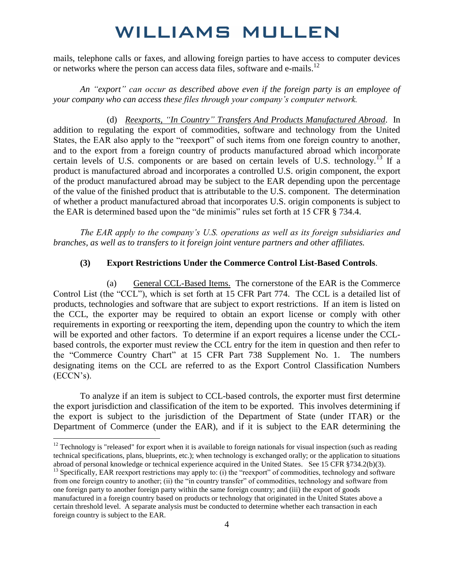mails, telephone calls or faxes, and allowing foreign parties to have access to computer devices or networks where the person can access data files, software and e-mails.<sup>12</sup>

*An "export" can occur as described above even if the foreign party is an employee of your company who can access these files through your company's computer network.*

(d) *Reexports, "In Country" Transfers And Products Manufactured Abroad*. In addition to regulating the export of commodities, software and technology from the United States, the EAR also apply to the "reexport" of such items from one foreign country to another, and to the export from a foreign country of products manufactured abroad which incorporate certain levels of U.S. components or are based on certain levels of U.S. technology.<sup>13</sup> If a product is manufactured abroad and incorporates a controlled U.S. origin component, the export of the product manufactured abroad may be subject to the EAR depending upon the percentage of the value of the finished product that is attributable to the U.S. component. The determination of whether a product manufactured abroad that incorporates U.S. origin components is subject to the EAR is determined based upon the "de minimis" rules set forth at 15 CFR § 734.4.

*The EAR apply to the company's U.S. operations as well as its foreign subsidiaries and branches, as well as to transfers to it foreign joint venture partners and other affiliates.* 

#### **(3) Export Restrictions Under the Commerce Control List-Based Controls**.

(a) General CCL-Based Items. The cornerstone of the EAR is the Commerce Control List (the "CCL"), which is set forth at 15 CFR Part 774. The CCL is a detailed list of products, technologies and software that are subject to export restrictions. If an item is listed on the CCL, the exporter may be required to obtain an export license or comply with other requirements in exporting or reexporting the item, depending upon the country to which the item will be exported and other factors. To determine if an export requires a license under the CCLbased controls, the exporter must review the CCL entry for the item in question and then refer to the "Commerce Country Chart" at 15 CFR Part 738 Supplement No. 1. The numbers designating items on the CCL are referred to as the Export Control Classification Numbers (ECCN's).

To analyze if an item is subject to CCL-based controls, the exporter must first determine the export jurisdiction and classification of the item to be exported. This involves determining if the export is subject to the jurisdiction of the Department of State (under ITAR) or the Department of Commerce (under the EAR), and if it is subject to the EAR determining the

 $12$  Technology is "released" for export when it is available to foreign nationals for visual inspection (such as reading technical specifications, plans, blueprints, etc.); when technology is exchanged orally; or the application to situations abroad of personal knowledge or technical experience acquired in the United States. See 15 CFR §734.2(b)(3).

<sup>&</sup>lt;sup>13</sup> Specifically, EAR reexport restrictions may apply to: (i) the "reexport" of commodities, technology and software from one foreign country to another; (ii) the "in country transfer" of commodities, technology and software from one foreign party to another foreign party within the same foreign country; and (iii) the export of goods manufactured in a foreign country based on products or technology that originated in the United States above a certain threshold level. A separate analysis must be conducted to determine whether each transaction in each foreign country is subject to the EAR.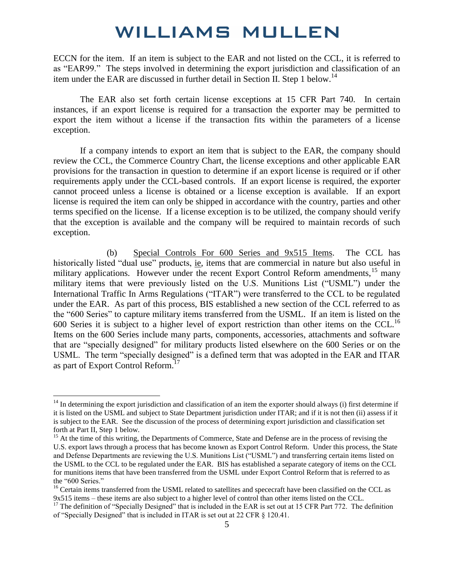ECCN for the item. If an item is subject to the EAR and not listed on the CCL, it is referred to as "EAR99." The steps involved in determining the export jurisdiction and classification of an item under the EAR are discussed in further detail in Section II. Step 1 below.<sup>14</sup>

The EAR also set forth certain license exceptions at 15 CFR Part 740. In certain instances, if an export license is required for a transaction the exporter may be permitted to export the item without a license if the transaction fits within the parameters of a license exception.

If a company intends to export an item that is subject to the EAR, the company should review the CCL, the Commerce Country Chart, the license exceptions and other applicable EAR provisions for the transaction in question to determine if an export license is required or if other requirements apply under the CCL-based controls. If an export license is required, the exporter cannot proceed unless a license is obtained or a license exception is available. If an export license is required the item can only be shipped in accordance with the country, parties and other terms specified on the license. If a license exception is to be utilized, the company should verify that the exception is available and the company will be required to maintain records of such exception.

(b) Special Controls For 600 Series and 9x515 Items. The CCL has historically listed "dual use" products, ie, items that are commercial in nature but also useful in military applications. However under the recent Export Control Reform amendments,<sup>15</sup> many military items that were previously listed on the U.S. Munitions List ("USML") under the International Traffic In Arms Regulations ("ITAR") were transferred to the CCL to be regulated under the EAR. As part of this process, BIS established a new section of the CCL referred to as the "600 Series" to capture military items transferred from the USML. If an item is listed on the 600 Series it is subject to a higher level of export restriction than other items on the CCL.<sup>16</sup> Items on the 600 Series include many parts, components, accessories, attachments and software that are "specially designed" for military products listed elsewhere on the 600 Series or on the USML. The term "specially designed" is a defined term that was adopted in the EAR and ITAR as part of Export Control Reform.<sup>17</sup>

 $14$  In determining the export jurisdiction and classification of an item the exporter should always (i) first determine if it is listed on the USML and subject to State Department jurisdiction under ITAR; and if it is not then (ii) assess if it is subject to the EAR. See the discussion of the process of determining export jurisdiction and classification set forth at Part II, Step 1 below.

<sup>&</sup>lt;sup>15</sup> At the time of this writing, the Departments of Commerce, State and Defense are in the process of revising the U.S. export laws through a process that has become known as Export Control Reform. Under this process, the State and Defense Departments are reviewing the U.S. Munitions List ("USML") and transferring certain items listed on the USML to the CCL to be regulated under the EAR. BIS has established a separate category of items on the CCL for munitions items that have been transferred from the USML under Export Control Reform that is referred to as the "600 Series."

<sup>&</sup>lt;sup>16</sup> Certain items transferred from the USML related to satellites and spececraft have been classified on the CCL as 9x515 items – these items are also subject to a higher level of control than other items listed on the CCL.

 $17$  The definition of "Specially Designed" that is included in the EAR is set out at 15 CFR Part 772. The definition of "Specially Designed" that is included in ITAR is set out at 22 CFR § 120.41.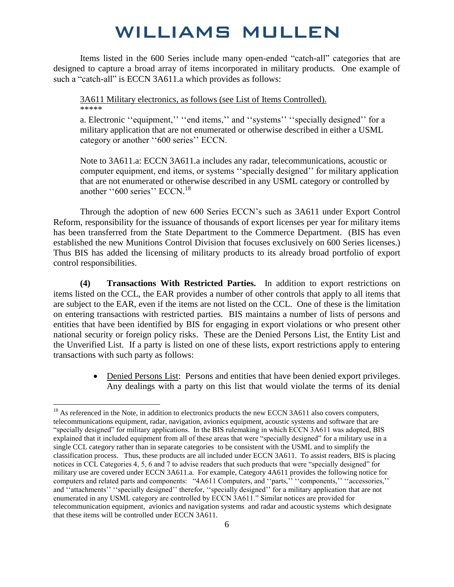Items listed in the 600 Series include many open-ended "catch-all" categories that are designed to capture a broad array of items incorporated in military products. One example of such a "catch-all" is ECCN 3A611.a which provides as follows:

3A611 Military electronics, as follows (see List of Items Controlled). \*\*\*\*\*

a. Electronic "equipment," "end items," and "systems" "specially designed" for a military application that are not enumerated or otherwise described in either a USML category or another ''600 series'' ECCN.

Note to 3A611.a: ECCN 3A611.a includes any radar, telecommunications, acoustic or computer equipment, end items, or systems ''specially designed'' for military application that are not enumerated or otherwise described in any USML category or controlled by another "600 series" ECCN.<sup>18</sup>

Through the adoption of new 600 Series ECCN's such as 3A611 under Export Control Reform, responsibility for the issuance of thousands of export licenses per year for military items has been transferred from the State Department to the Commerce Department. (BIS has even established the new Munitions Control Division that focuses exclusively on 600 Series licenses.) Thus BIS has added the licensing of military products to its already broad portfolio of export control responsibilities.

**(4) Transactions With Restricted Parties.** In addition to export restrictions on items listed on the CCL, the EAR provides a number of other controls that apply to all items that are subject to the EAR, even if the items are not listed on the CCL. One of these is the limitation on entering transactions with restricted parties. BIS maintains a number of lists of persons and entities that have been identified by BIS for engaging in export violations or who present other national security or foreign policy risks. These are the Denied Persons List, the Entity List and the Unverified List. If a party is listed on one of these lists, export restrictions apply to entering transactions with such party as follows:

> Denied Persons List: Persons and entities that have been denied export privileges. Any dealings with a party on this list that would violate the terms of its denial

<sup>&</sup>lt;sup>18</sup> As referenced in the Note, in addition to electronics products the new ECCN 3A611 also covers computers, telecommunications equipment, radar, navigation, avionics equipment, acoustic systems and software that are "specially designed" for military applications. In the BIS rulemaking in which ECCN 3A611 was adopted, BIS explained that it included equipment from all of these areas that were "specially designed" for a military use in a single CCL category rather than in separate categories to be consistent with the USML and to simplify the classification process. Thus, these products are all included under ECCN 3A611. To assist readers, BIS is placing notices in CCL Categories 4, 5, 6 and 7 to advise readers that such products that were "specially designed" for military use are covered under ECCN 3A611.a. For example, Category 4A611 provides the following notice for computers and related parts and components: "4A611 Computers, and ''parts,'' ''components,'' ''accessories,'' and ''attachments'' ''specially designed'' therefor, ''specially designed'' for a military application that are not enumerated in any USML category are controlled by ECCN 3A611." Similar notices are provided for telecommunication equipment, avionics and navigation systems and radar and acoustic systems which designate that these items will be controlled under ECCN 3A611.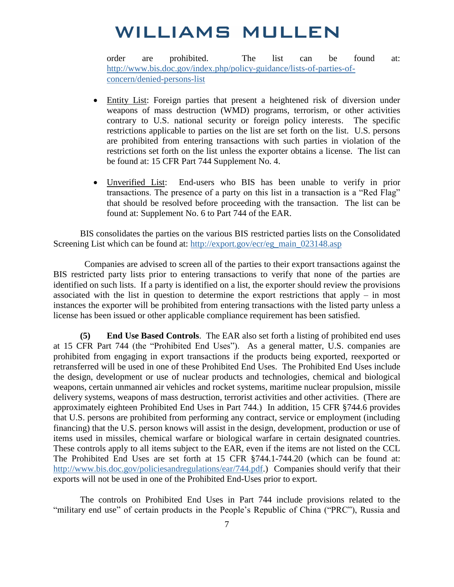order are prohibited. The list can be found at: [http://www.bis.doc.gov/index.php/policy-guidance/lists-of-parties-of](http://www.bis.doc.gov/index.php/policy-guidance/lists-of-parties-of-concern/denied-persons-list)[concern/denied-persons-list](http://www.bis.doc.gov/index.php/policy-guidance/lists-of-parties-of-concern/denied-persons-list)

- Entity List: Foreign parties that present a heightened risk of diversion under weapons of mass destruction (WMD) programs, terrorism, or other activities contrary to U.S. national security or foreign policy interests. The specific restrictions applicable to parties on the list are set forth on the list. U.S. persons are prohibited from entering transactions with such parties in violation of the restrictions set forth on the list unless the exporter obtains a license. The list can be found at: 15 CFR Part 744 Supplement No. 4.
- Unverified List: End-users who BIS has been unable to verify in prior transactions. The presence of a party on this list in a transaction is a "Red Flag" that should be resolved before proceeding with the transaction. The list can be found at: Supplement No. 6 to Part 744 of the EAR.

BIS consolidates the parties on the various BIS restricted parties lists on the Consolidated Screening List which can be found at: http://export.gov/ecr/eg\_main\_023148.asp

 Companies are advised to screen all of the parties to their export transactions against the BIS restricted party lists prior to entering transactions to verify that none of the parties are identified on such lists. If a party is identified on a list, the exporter should review the provisions associated with the list in question to determine the export restrictions that apply – in most instances the exporter will be prohibited from entering transactions with the listed party unless a license has been issued or other applicable compliance requirement has been satisfied.

**(5) End Use Based Controls**. The EAR also set forth a listing of prohibited end uses at 15 CFR Part 744 (the "Prohibited End Uses"). As a general matter, U.S. companies are prohibited from engaging in export transactions if the products being exported, reexported or retransferred will be used in one of these Prohibited End Uses. The Prohibited End Uses include the design, development or use of nuclear products and technologies, chemical and biological weapons, certain unmanned air vehicles and rocket systems, maritime nuclear propulsion, missile delivery systems, weapons of mass destruction, terrorist activities and other activities. (There are approximately eighteen Prohibited End Uses in Part 744.) In addition, 15 CFR §744.6 provides that U.S. persons are prohibited from performing any contract, service or employment (including financing) that the U.S. person knows will assist in the design, development, production or use of items used in missiles, chemical warfare or biological warfare in certain designated countries. These controls apply to all items subject to the EAR, even if the items are not listed on the CCL The Prohibited End Uses are set forth at 15 CFR §744.1-744.20 (which can be found at: [http://www.bis.doc.gov/policiesandregulations/ear/744.pdf.](http://www.bis.doc.gov/policiesandregulations/ear/744.pdf)) Companies should verify that their exports will not be used in one of the Prohibited End-Uses prior to export.

The controls on Prohibited End Uses in Part 744 include provisions related to the "military end use" of certain products in the People's Republic of China ("PRC"), Russia and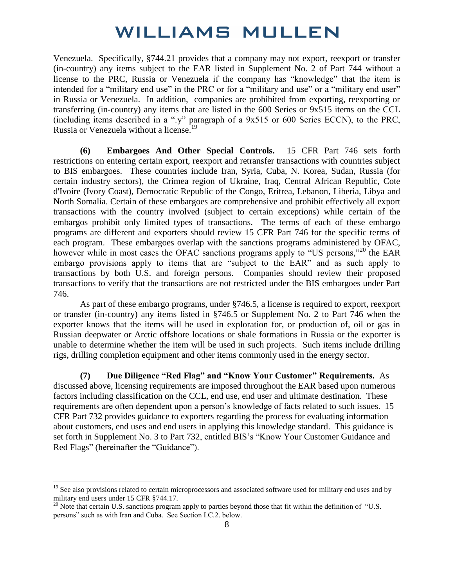Venezuela. Specifically, §744.21 provides that a company may not export, reexport or transfer (in-country) any items subject to the EAR listed in Supplement No. 2 of Part 744 without a license to the PRC, Russia or Venezuela if the company has "knowledge" that the item is intended for a "military end use" in the PRC or for a "military and use" or a "military end user" in Russia or Venezuela. In addition, companies are prohibited from exporting, reexporting or transferring (in-country) any items that are listed in the 600 Series or 9x515 items on the CCL (including items described in a ".y" paragraph of a 9x515 or 600 Series ECCN), to the PRC, Russia or Venezuela without a license.<sup>19</sup>

**(6) Embargoes And Other Special Controls.** 15 CFR Part 746 sets forth restrictions on entering certain export, reexport and retransfer transactions with countries subject to BIS embargoes. These countries include Iran, Syria, Cuba, N. Korea, Sudan, Russia (for certain industry sectors), the Crimea region of Ukraine, Iraq, Central African Republic, Cote d'Ivoire (Ivory Coast), Democratic Republic of the Congo, Eritrea, Lebanon, Liberia, Libya and North Somalia. Certain of these embargoes are comprehensive and prohibit effectively all export transactions with the country involved (subject to certain exceptions) while certain of the embargos prohibit only limited types of transactions. The terms of each of these embargo programs are different and exporters should review 15 CFR Part 746 for the specific terms of each program. These embargoes overlap with the sanctions programs administered by OFAC, however while in most cases the OFAC sanctions programs apply to "US persons,"<sup>20</sup> the EAR embargo provisions apply to items that are "subject to the EAR" and as such apply to transactions by both U.S. and foreign persons. Companies should review their proposed transactions to verify that the transactions are not restricted under the BIS embargoes under Part 746.

As part of these embargo programs, under §746.5, a license is required to export, reexport or transfer (in-country) any items listed in §746.5 or Supplement No. 2 to Part 746 when the exporter knows that the items will be used in exploration for, or production of, oil or gas in Russian deepwater or Arctic offshore locations or shale formations in Russia or the exporter is unable to determine whether the item will be used in such projects. Such items include drilling rigs, drilling completion equipment and other items commonly used in the energy sector.

**(7) Due Diligence "Red Flag" and "Know Your Customer" Requirements.** As discussed above, licensing requirements are imposed throughout the EAR based upon numerous factors including classification on the CCL, end use, end user and ultimate destination. These requirements are often dependent upon a person's knowledge of facts related to such issues. 15 CFR Part 732 provides guidance to exporters regarding the process for evaluating information about customers, end uses and end users in applying this knowledge standard. This guidance is set forth in Supplement No. 3 to Part 732, entitled BIS's "Know Your Customer Guidance and Red Flags" (hereinafter the "Guidance").

 $19$  See also provisions related to certain microprocessors and associated software used for military end uses and by military end users under 15 CFR §744.17.

 $^{20}$  Note that certain U.S. sanctions program apply to parties beyond those that fit within the definition of "U.S. persons" such as with Iran and Cuba. See Section I.C.2. below.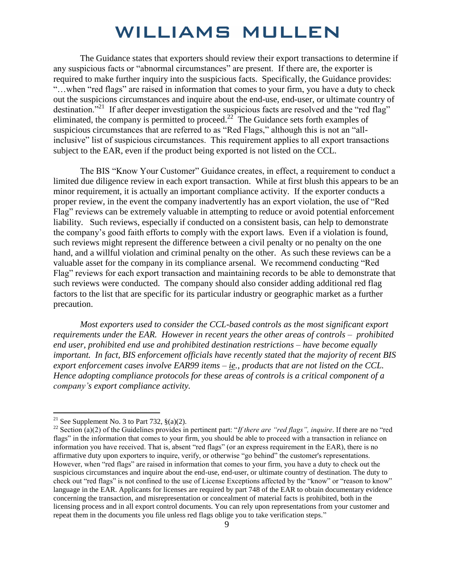The Guidance states that exporters should review their export transactions to determine if any suspicious facts or "abnormal circumstances" are present. If there are, the exporter is required to make further inquiry into the suspicious facts. Specifically, the Guidance provides: "…when "red flags" are raised in information that comes to your firm, you have a duty to check out the suspicions circumstances and inquire about the end-use, end-user, or ultimate country of destination.<sup>"21</sup> If after deeper investigation the suspicious facts are resolved and the "red flag" eliminated, the company is permitted to proceed.<sup>22</sup> The Guidance sets forth examples of suspicious circumstances that are referred to as "Red Flags," although this is not an "allinclusive" list of suspicious circumstances. This requirement applies to all export transactions subject to the EAR, even if the product being exported is not listed on the CCL.

The BIS "Know Your Customer" Guidance creates, in effect, a requirement to conduct a limited due diligence review in each export transaction. While at first blush this appears to be an minor requirement, it is actually an important compliance activity. If the exporter conducts a proper review, in the event the company inadvertently has an export violation, the use of "Red Flag" reviews can be extremely valuable in attempting to reduce or avoid potential enforcement liability. Such reviews, especially if conducted on a consistent basis, can help to demonstrate the company's good faith efforts to comply with the export laws. Even if a violation is found, such reviews might represent the difference between a civil penalty or no penalty on the one hand, and a willful violation and criminal penalty on the other. As such these reviews can be a valuable asset for the company in its compliance arsenal. We recommend conducting "Red Flag" reviews for each export transaction and maintaining records to be able to demonstrate that such reviews were conducted. The company should also consider adding additional red flag factors to the list that are specific for its particular industry or geographic market as a further precaution.

*Most exporters used to consider the CCL-based controls as the most significant export requirements under the EAR. However in recent years the other areas of controls – prohibited end user, prohibited end use and prohibited destination restrictions – have become equally important. In fact, BIS enforcement officials have recently stated that the majority of recent BIS export enforcement cases involve EAR99 items – ie., products that are not listed on the CCL. Hence adopting compliance protocols for these areas of controls is a critical component of a company's export compliance activity.* 

<sup>&</sup>lt;sup>21</sup> See Supplement No. 3 to Part 732,  $\S(a)(2)$ .

<sup>&</sup>lt;sup>22</sup> Section (a)(2) of the Guidelines provides in pertinent part: "*If there are "red flags"*, *inquire*. If there are no "red flags" in the information that comes to your firm, you should be able to proceed with a transaction in reliance on information you have received. That is, absent "red flags" (or an express requirement in the EAR), there is no affirmative duty upon exporters to inquire, verify, or otherwise "go behind" the customer's representations. However, when "red flags" are raised in information that comes to your firm, you have a duty to check out the suspicious circumstances and inquire about the end-use, end-user, or ultimate country of destination. The duty to check out "red flags" is not confined to the use of License Exceptions affected by the "know" or "reason to know" language in the EAR. Applicants for licenses are required by part 748 of the EAR to obtain documentary evidence concerning the transaction, and misrepresentation or concealment of material facts is prohibited, both in the licensing process and in all export control documents. You can rely upon representations from your customer and repeat them in the documents you file unless red flags oblige you to take verification steps."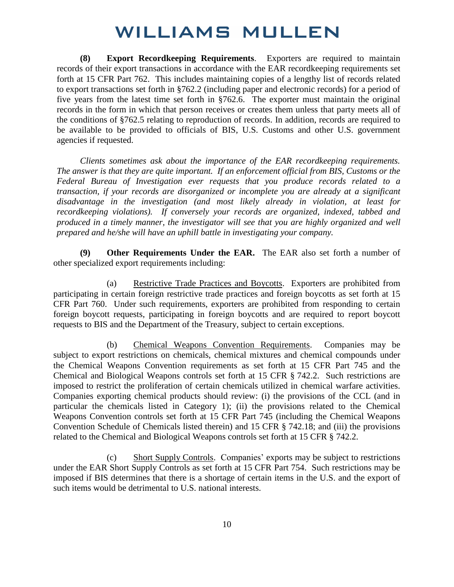**(8) Export Recordkeeping Requirements**. Exporters are required to maintain records of their export transactions in accordance with the EAR recordkeeping requirements set forth at 15 CFR Part 762. This includes maintaining copies of a lengthy list of records related to export transactions set forth in §762.2 (including paper and electronic records) for a period of five years from the latest time set forth in §762.6. The exporter must maintain the original records in the form in which that person receives or creates them unless that party meets all of the conditions of §762.5 relating to reproduction of records. In addition, records are required to be available to be provided to officials of BIS, U.S. Customs and other U.S. government agencies if requested.

*Clients sometimes ask about the importance of the EAR recordkeeping requirements. The answer is that they are quite important. If an enforcement official from BIS, Customs or the Federal Bureau of Investigation ever requests that you produce records related to a transaction, if your records are disorganized or incomplete you are already at a significant disadvantage in the investigation (and most likely already in violation, at least for recordkeeping violations). If conversely your records are organized, indexed, tabbed and produced in a timely manner, the investigator will see that you are highly organized and well prepared and he/she will have an uphill battle in investigating your company.* 

**(9) Other Requirements Under the EAR.** The EAR also set forth a number of other specialized export requirements including:

 (a) Restrictive Trade Practices and Boycotts. Exporters are prohibited from participating in certain foreign restrictive trade practices and foreign boycotts as set forth at 15 CFR Part 760. Under such requirements, exporters are prohibited from responding to certain foreign boycott requests, participating in foreign boycotts and are required to report boycott requests to BIS and the Department of the Treasury, subject to certain exceptions.

 (b) Chemical Weapons Convention Requirements. Companies may be subject to export restrictions on chemicals, chemical mixtures and chemical compounds under the Chemical Weapons Convention requirements as set forth at 15 CFR Part 745 and the Chemical and Biological Weapons controls set forth at 15 CFR § 742.2. Such restrictions are imposed to restrict the proliferation of certain chemicals utilized in chemical warfare activities. Companies exporting chemical products should review: (i) the provisions of the CCL (and in particular the chemicals listed in Category 1); (ii) the provisions related to the Chemical Weapons Convention controls set forth at 15 CFR Part 745 (including the Chemical Weapons Convention Schedule of Chemicals listed therein) and 15 CFR § 742.18; and (iii) the provisions related to the Chemical and Biological Weapons controls set forth at 15 CFR § 742.2.

 (c) Short Supply Controls. Companies' exports may be subject to restrictions under the EAR Short Supply Controls as set forth at 15 CFR Part 754. Such restrictions may be imposed if BIS determines that there is a shortage of certain items in the U.S. and the export of such items would be detrimental to U.S. national interests.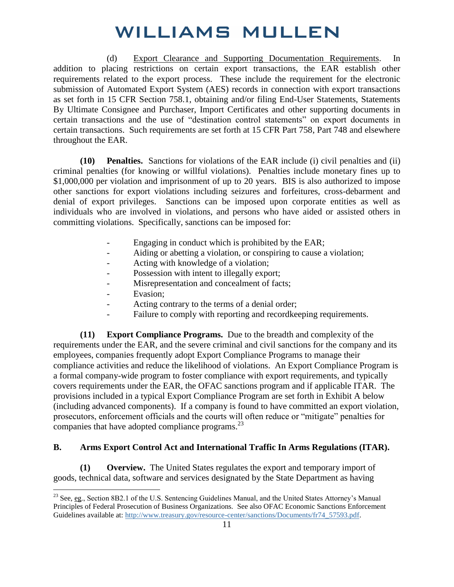(d) Export Clearance and Supporting Documentation Requirements.In addition to placing restrictions on certain export transactions, the EAR establish other requirements related to the export process. These include the requirement for the electronic submission of Automated Export System (AES) records in connection with export transactions as set forth in 15 CFR Section 758.1, obtaining and/or filing End-User Statements, Statements By Ultimate Consignee and Purchaser, Import Certificates and other supporting documents in certain transactions and the use of "destination control statements" on export documents in certain transactions. Such requirements are set forth at 15 CFR Part 758, Part 748 and elsewhere throughout the EAR.

**(10) Penalties.** Sanctions for violations of the EAR include (i) civil penalties and (ii) criminal penalties (for knowing or willful violations). Penalties include monetary fines up to \$1,000,000 per violation and imprisonment of up to 20 years. BIS is also authorized to impose other sanctions for export violations including seizures and forfeitures, cross-debarment and denial of export privileges. Sanctions can be imposed upon corporate entities as well as individuals who are involved in violations, and persons who have aided or assisted others in committing violations. Specifically, sanctions can be imposed for:

- Engaging in conduct which is prohibited by the EAR;
- Aiding or abetting a violation, or conspiring to cause a violation;
- Acting with knowledge of a violation;
- Possession with intent to illegally export;
- Misrepresentation and concealment of facts;
- Evasion;

 $\overline{a}$ 

- Acting contrary to the terms of a denial order;
- Failure to comply with reporting and recordkeeping requirements.

**(11) Export Compliance Programs.** Due to the breadth and complexity of the requirements under the EAR, and the severe criminal and civil sanctions for the company and its employees, companies frequently adopt Export Compliance Programs to manage their compliance activities and reduce the likelihood of violations. An Export Compliance Program is a formal company-wide program to foster compliance with export requirements, and typically covers requirements under the EAR, the OFAC sanctions program and if applicable ITAR. The provisions included in a typical Export Compliance Program are set forth in Exhibit A below (including advanced components). If a company is found to have committed an export violation, prosecutors, enforcement officials and the courts will often reduce or "mitigate" penalties for companies that have adopted compliance programs.<sup>23</sup>

#### **B. Arms Export Control Act and International Traffic In Arms Regulations (ITAR).**

**(1) Overview.** The United States regulates the export and temporary import of goods, technical data, software and services designated by the State Department as having

<sup>&</sup>lt;sup>23</sup> See, eg., Section 8B2.1 of the U.S. Sentencing Guidelines Manual, and the United States Attorney's Manual Principles of Federal Prosecution of Business Organizations. See also OFAC Economic Sanctions Enforcement Guidelines available at: [http://www.treasury.gov/resource-center/sanctions/Documents/fr74\\_57593.pdf.](http://www.treasury.gov/resource-center/sanctions/Documents/fr74_57593.pdf)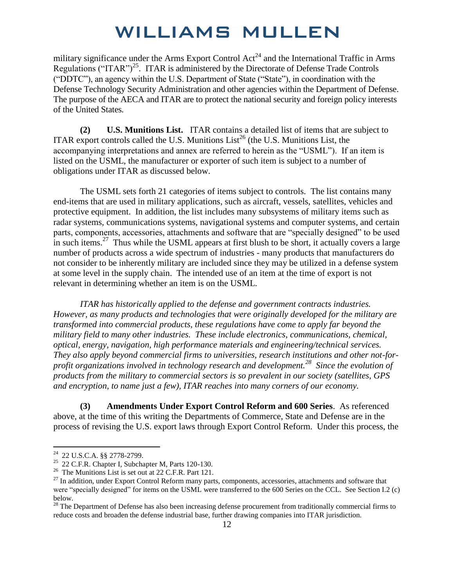military significance under the Arms Export Control  $Act<sup>24</sup>$  and the International Traffic in Arms Regulations ("ITAR")<sup>25</sup>. ITAR is administered by the Directorate of Defense Trade Controls ("DDTC"), an agency within the U.S. Department of State ("State"), in coordination with the Defense Technology Security Administration and other agencies within the Department of Defense. The purpose of the AECA and ITAR are to protect the national security and foreign policy interests of the United States.

**(2) U.S. Munitions List.** ITAR contains a detailed list of items that are subject to ITAR export controls called the U.S. Munitions List<sup>26</sup> (the U.S. Munitions List, the accompanying interpretations and annex are referred to herein as the "USML"). If an item is listed on the USML, the manufacturer or exporter of such item is subject to a number of obligations under ITAR as discussed below.

 The USML sets forth 21 categories of items subject to controls. The list contains many end-items that are used in military applications, such as aircraft, vessels, satellites, vehicles and protective equipment. In addition, the list includes many subsystems of military items such as radar systems, communications systems, navigational systems and computer systems, and certain parts, components, accessories, attachments and software that are "specially designed" to be used in such items.<sup>27</sup> Thus while the USML appears at first blush to be short, it actually covers a large number of products across a wide spectrum of industries - many products that manufacturers do not consider to be inherently military are included since they may be utilized in a defense system at some level in the supply chain. The intended use of an item at the time of export is not relevant in determining whether an item is on the USML.

*ITAR has historically applied to the defense and government contracts industries. However, as many products and technologies that were originally developed for the military are transformed into commercial products, these regulations have come to apply far beyond the military field to many other industries. These include electronics, communications, chemical, optical, energy, navigation, high performance materials and engineering/technical services. They also apply beyond commercial firms to universities, research institutions and other not-forprofit organizations involved in technology research and development.<sup>28</sup> Since the evolution of products from the military to commercial sectors is so prevalent in our society (satellites, GPS and encryption, to name just a few), ITAR reaches into many corners of our economy.* 

**(3) Amendments Under Export Control Reform and 600 Series**. As referenced above, at the time of this writing the Departments of Commerce, State and Defense are in the process of revising the U.S. export laws through Export Control Reform. Under this process, the

<sup>&</sup>lt;sup>24</sup> 22 U.S.C.A. §§ 2778-2799.

 $25$  22 C.F.R. Chapter I, Subchapter M, Parts 120-130.

<sup>&</sup>lt;sup>26</sup> The Munitions List is set out at 22 C.F.R. Part 121.

<sup>&</sup>lt;sup>27</sup> In addition, under Export Control Reform many parts, components, accessories, attachments and software that were "specially designed" for items on the USML were transferred to the 600 Series on the CCL. See Section I.2 (c) below.

<sup>&</sup>lt;sup>28</sup> The Department of Defense has also been increasing defense procurement from traditionally commercial firms to reduce costs and broaden the defense industrial base, further drawing companies into ITAR jurisdiction.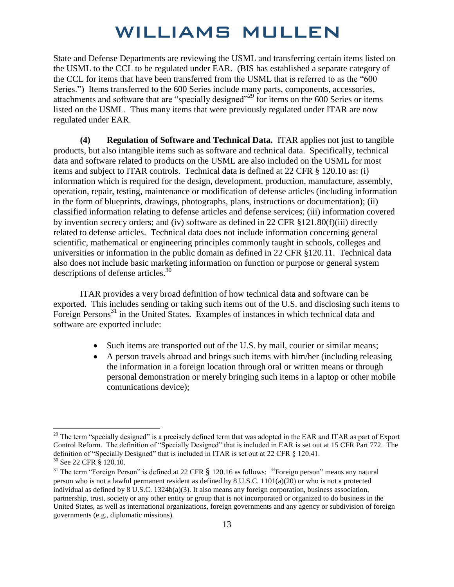State and Defense Departments are reviewing the USML and transferring certain items listed on the USML to the CCL to be regulated under EAR. (BIS has established a separate category of the CCL for items that have been transferred from the USML that is referred to as the "600 Series.") Items transferred to the 600 Series include many parts, components, accessories, attachments and software that are "specially designed"<sup>29</sup> for items on the 600 Series or items listed on the USML. Thus many items that were previously regulated under ITAR are now regulated under EAR.

**(4) Regulation of Software and Technical Data.** ITAR applies not just to tangible products, but also intangible items such as software and technical data. Specifically, technical data and software related to products on the USML are also included on the USML for most items and subject to ITAR controls. Technical data is defined at 22 CFR § 120.10 as: (i) information which is required for the design, development, production, manufacture, assembly, operation, repair, testing, maintenance or modification of defense articles (including information in the form of blueprints, drawings, photographs, plans, instructions or documentation); (ii) classified information relating to defense articles and defense services; (iii) information covered by invention secrecy orders; and (iv) software as defined in 22 CFR §121.80(f)(iii) directly related to defense articles. Technical data does not include information concerning general scientific, mathematical or engineering principles commonly taught in schools, colleges and universities or information in the public domain as defined in 22 CFR §120.11. Technical data also does not include basic marketing information on function or purpose or general system descriptions of defense articles.<sup>30</sup>

ITAR provides a very broad definition of how technical data and software can be exported. This includes sending or taking such items out of the U.S. and disclosing such items to Foreign Persons<sup>31</sup> in the United States. Examples of instances in which technical data and software are exported include:

- Such items are transported out of the U.S. by mail, courier or similar means;
- A person travels abroad and brings such items with him/her (including releasing the information in a foreign location through oral or written means or through personal demonstration or merely bringing such items in a laptop or other mobile comunications device);

<sup>&</sup>lt;sup>29</sup> The term "specially designed" is a precisely defined term that was adopted in the EAR and ITAR as part of Export Control Reform. The definition of "Specially Designed" that is included in EAR is set out at 15 CFR Part 772. The definition of "Specially Designed" that is included in ITAR is set out at 22 CFR § 120.41. <sup>30</sup> See 22 CFR § 120.10.

 $31$  The term "Foreign Person" is defined at 22 CFR  $\S$  120.16 as follows: "Foreign person" means any natural person who is not a lawful permanent resident as defined by  $8 \text{ U.S.C. } 1101(a)(20)$  or who is not a protected individual as defined by 8 U.S.C. 1324b(a)(3). It also means any foreign corporation, business association, partnership, trust, society or any other entity or group that is not incorporated or organized to do business in the United States, as well as international organizations, foreign governments and any agency or subdivision of foreign governments (e.g., diplomatic missions).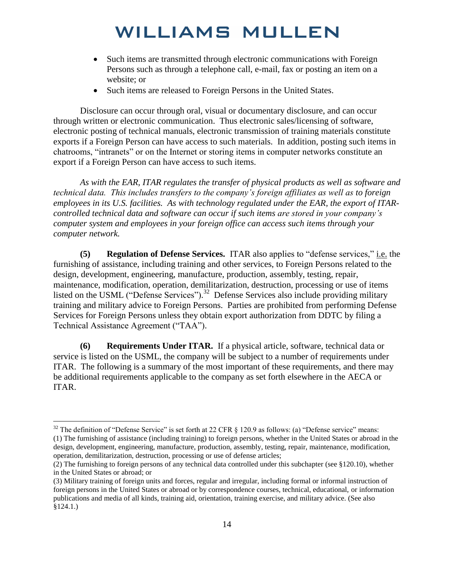- Such items are transmitted through electronic communications with Foreign Persons such as through a telephone call, e-mail, fax or posting an item on a website; or
- Such items are released to Foreign Persons in the United States.

 Disclosure can occur through oral, visual or documentary disclosure, and can occur through written or electronic communication. Thus electronic sales/licensing of software, electronic posting of technical manuals, electronic transmission of training materials constitute exports if a Foreign Person can have access to such materials. In addition, posting such items in chatrooms, "intranets" or on the Internet or storing items in computer networks constitute an export if a Foreign Person can have access to such items.

*As with the EAR, ITAR regulates the transfer of physical products as well as software and technical data. This includes transfers to the company's foreign affiliates as well as to foreign employees in its U.S. facilities. As with technology regulated under the EAR, the export of ITARcontrolled technical data and software can occur if such items are stored in your company's computer system and employees in your foreign office can access such items through your computer network.* 

**(5) Regulation of Defense Services.** ITAR also applies to "defense services," i.e. the furnishing of assistance, including training and other services, to Foreign Persons related to the design, development, engineering, manufacture, production, assembly, testing, repair, maintenance, modification, operation, demilitarization, destruction, processing or use of items listed on the USML ("Defense Services").<sup>32</sup> Defense Services also include providing military training and military advice to Foreign Persons. Parties are prohibited from performing Defense Services for Foreign Persons unless they obtain export authorization from DDTC by filing a Technical Assistance Agreement ("TAA").

**(6) Requirements Under ITAR.** If a physical article, software, technical data or service is listed on the USML, the company will be subject to a number of requirements under ITAR. The following is a summary of the most important of these requirements, and there may be additional requirements applicable to the company as set forth elsewhere in the AECA or ITAR.

<sup>&</sup>lt;sup>32</sup> The definition of "Defense Service" is set forth at 22 CFR  $\S$  120.9 as follows: (a) "Defense service" means: (1) The furnishing of assistance (including training) to foreign persons, whether in the United States or abroad in the design, development, engineering, manufacture, production, assembly, testing, repair, maintenance, modification, operation, demilitarization, destruction, processing or use of defense articles;

<sup>(2)</sup> The furnishing to foreign persons of any technical data controlled under this subchapter (see §120.10), whether in the United States or abroad; or

<sup>(3)</sup> Military training of foreign units and forces, regular and irregular, including formal or informal instruction of foreign persons in the United States or abroad or by correspondence courses, technical, educational, or information publications and media of all kinds, training aid, orientation, training exercise, and military advice. (See also §124.1.)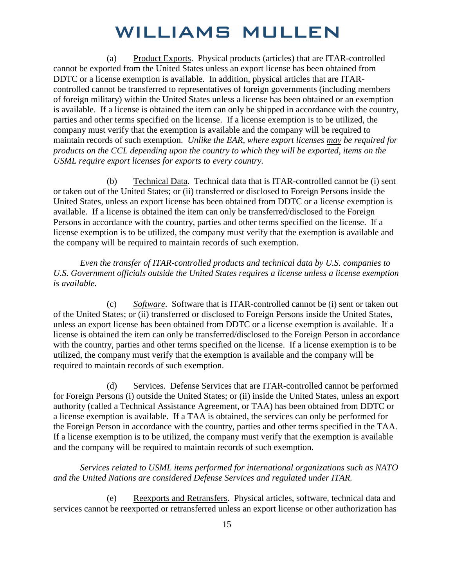(a) Product Exports. Physical products (articles) that are ITAR-controlled cannot be exported from the United States unless an export license has been obtained from DDTC or a license exemption is available. In addition, physical articles that are ITARcontrolled cannot be transferred to representatives of foreign governments (including members of foreign military) within the United States unless a license has been obtained or an exemption is available. If a license is obtained the item can only be shipped in accordance with the country, parties and other terms specified on the license. If a license exemption is to be utilized, the company must verify that the exemption is available and the company will be required to maintain records of such exemption. *Unlike the EAR, where export licenses may be required for products on the CCL depending upon the country to which they will be exported, items on the USML require export licenses for exports to every country.*

(b) Technical Data. Technical data that is ITAR-controlled cannot be (i) sent or taken out of the United States; or (ii) transferred or disclosed to Foreign Persons inside the United States, unless an export license has been obtained from DDTC or a license exemption is available. If a license is obtained the item can only be transferred/disclosed to the Foreign Persons in accordance with the country, parties and other terms specified on the license. If a license exemption is to be utilized, the company must verify that the exemption is available and the company will be required to maintain records of such exemption.

*Even the transfer of ITAR-controlled products and technical data by U.S. companies to U.S. Government officials outside the United States requires a license unless a license exemption is available.* 

(c) *Software*. Software that is ITAR-controlled cannot be (i) sent or taken out of the United States; or (ii) transferred or disclosed to Foreign Persons inside the United States, unless an export license has been obtained from DDTC or a license exemption is available. If a license is obtained the item can only be transferred/disclosed to the Foreign Person in accordance with the country, parties and other terms specified on the license. If a license exemption is to be utilized, the company must verify that the exemption is available and the company will be required to maintain records of such exemption.

(d) Services. Defense Services that are ITAR-controlled cannot be performed for Foreign Persons (i) outside the United States; or (ii) inside the United States, unless an export authority (called a Technical Assistance Agreement, or TAA) has been obtained from DDTC or a license exemption is available. If a TAA is obtained, the services can only be performed for the Foreign Person in accordance with the country, parties and other terms specified in the TAA. If a license exemption is to be utilized, the company must verify that the exemption is available and the company will be required to maintain records of such exemption.

*Services related to USML items performed for international organizations such as NATO and the United Nations are considered Defense Services and regulated under ITAR.* 

(e) Reexports and Retransfers. Physical articles, software, technical data and services cannot be reexported or retransferred unless an export license or other authorization has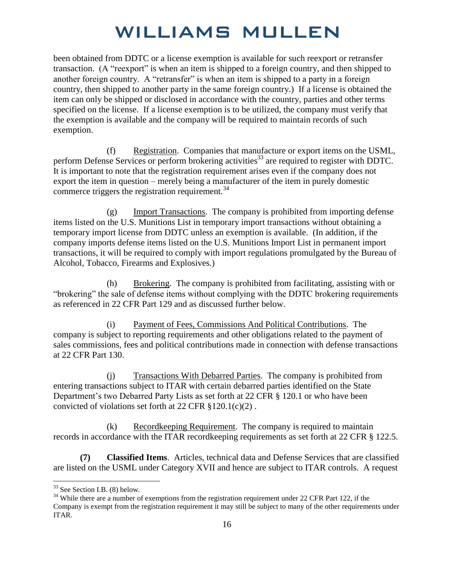been obtained from DDTC or a license exemption is available for such reexport or retransfer transaction. (A "reexport" is when an item is shipped to a foreign country, and then shipped to another foreign country. A "retransfer" is when an item is shipped to a party in a foreign country, then shipped to another party in the same foreign country.) If a license is obtained the item can only be shipped or disclosed in accordance with the country, parties and other terms specified on the license. If a license exemption is to be utilized, the company must verify that the exemption is available and the company will be required to maintain records of such exemption.

(f) Registration. Companies that manufacture or export items on the USML, perform Defense Services or perform brokering activities<sup>33</sup> are required to register with DDTC. It is important to note that the registration requirement arises even if the company does not export the item in question – merely being a manufacturer of the item in purely domestic commerce triggers the registration requirement. $34$ 

(g) Import Transactions. The company is prohibited from importing defense items listed on the U.S. Munitions List in temporary import transactions without obtaining a temporary import license from DDTC unless an exemption is available. (In addition, if the company imports defense items listed on the U.S. Munitions Import List in permanent import transactions, it will be required to comply with import regulations promulgated by the Bureau of Alcohol, Tobacco, Firearms and Explosives.)

(h) Brokering. The company is prohibited from facilitating, assisting with or "brokering" the sale of defense items without complying with the DDTC brokering requirements as referenced in 22 CFR Part 129 and as discussed further below.

(i) Payment of Fees, Commissions And Political Contributions. The company is subject to reporting requirements and other obligations related to the payment of sales commissions, fees and political contributions made in connection with defense transactions at 22 CFR Part 130.

(j) Transactions With Debarred Parties. The company is prohibited from entering transactions subject to ITAR with certain debarred parties identified on the State Department's two Debarred Party Lists as set forth at 22 CFR § 120.1 or who have been convicted of violations set forth at 22 CFR §120.1(c)(2) .

(k) Record keeping Requirement. The company is required to maintain records in accordance with the ITAR recordkeeping requirements as set forth at 22 CFR § 122.5.

**(7) Classified Items**. Articles, technical data and Defense Services that are classified are listed on the USML under Category XVII and hence are subject to ITAR controls. A request

<sup>33</sup> See Section I.B. (8) below.

<sup>&</sup>lt;sup>34</sup> While there are a number of exemptions from the registration requirement under 22 CFR Part 122, if the Company is exempt from the registration requirement it may still be subject to many of the other requirements under ITAR.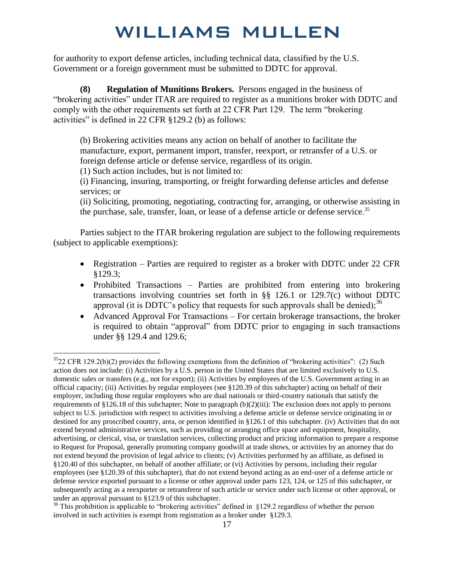for authority to export defense articles, including technical data, classified by the U.S. Government or a foreign government must be submitted to DDTC for approval.

**(8) Regulation of Munitions Brokers.** Persons engaged in the business of "brokering activities" under ITAR are required to register as a munitions broker with DDTC and comply with the other requirements set forth at 22 CFR Part 129. The term "brokering activities" is defined in 22 CFR §129.2 (b) as follows:

(b) Brokering activities means any action on behalf of another to facilitate the manufacture, export, permanent import, transfer, reexport, or retransfer of a U.S. or foreign defense article or defense service, regardless of its origin.

(1) Such action includes, but is not limited to:

 $\overline{a}$ 

(i) Financing, insuring, transporting, or freight forwarding defense articles and defense services; or

(ii) Soliciting, promoting, negotiating, contracting for, arranging, or otherwise assisting in the purchase, sale, transfer, loan, or lease of a defense article or defense service.<sup>35</sup>

 Parties subject to the ITAR brokering regulation are subject to the following requirements (subject to applicable exemptions):

- Registration Parties are required to register as a broker with DDTC under 22 CFR §129.3;
- Prohibited Transactions Parties are prohibited from entering into brokering transactions involving countries set forth in §§ 126.1 or 129.7(c) without DDTC approval (it is DDTC's policy that requests for such approvals shall be denied);<sup>36</sup>
- Advanced Approval For Transactions For certain brokerage transactions, the broker is required to obtain "approval" from DDTC prior to engaging in such transactions under §§ 129.4 and 129.6;

 $3522$  CFR 129.2(b)(2) provides the following exemptions from the definition of "brokering activities": (2) Such action does not include: (i) Activities by a U.S. person in the United States that are limited exclusively to U.S. domestic sales or transfers (e.g., not for export); (ii) Activities by employees of the U.S. Government acting in an official capacity; (iii) Activities by regular employees (see §120.39 of this subchapter) acting on behalf of their employer, including those regular employees who are dual nationals or third-country nationals that satisfy the requirements of §126.18 of this subchapter; Note to paragraph (b)(2)(iii): The exclusion does not apply to persons subject to U.S. jurisdiction with respect to activities involving a defense article or defense service originating in or destined for any proscribed country, area, or person identified in §126.1 of this subchapter. (iv) Activities that do not extend beyond administrative services, such as providing or arranging office space and equipment, hospitality, advertising, or clerical, visa, or translation services, collecting product and pricing information to prepare a response to Request for Proposal, generally promoting company goodwill at trade shows, or activities by an attorney that do not extend beyond the provision of legal advice to clients; (v) Activities performed by an affiliate, as defined in §120.40 of this subchapter, on behalf of another affiliate; or (vi) Activities by persons, including their regular employees (see §120.39 of this subchapter), that do not extend beyond acting as an end-user of a defense article or defense service exported pursuant to a license or other approval under parts 123, 124, or 125 of this subchapter, or subsequently acting as a reexporter or retransferor of such article or service under such license or other approval, or under an approval pursuant to §123.9 of this subchapter.

<sup>&</sup>lt;sup>36</sup> This prohibition is applicable to "brokering activities" defined in §129.2 regardless of whether the person involved in such activities is exempt from registration as a broker under §129.3.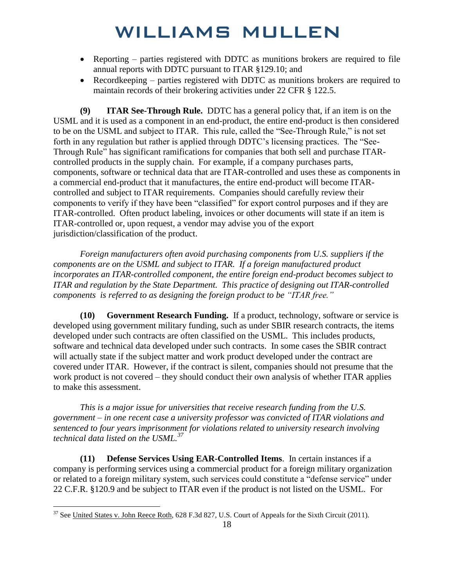- Reporting parties registered with DDTC as munitions brokers are required to file annual reports with DDTC pursuant to ITAR §129.10; and
- Recordkeeping parties registered with DDTC as munitions brokers are required to maintain records of their brokering activities under 22 CFR § 122.5.

**(9) ITAR See-Through Rule.** DDTC has a general policy that, if an item is on the USML and it is used as a component in an end-product, the entire end-product is then considered to be on the USML and subject to ITAR. This rule, called the "See-Through Rule," is not set forth in any regulation but rather is applied through DDTC's licensing practices. The "See-Through Rule" has significant ramifications for companies that both sell and purchase ITARcontrolled products in the supply chain. For example, if a company purchases parts, components, software or technical data that are ITAR-controlled and uses these as components in a commercial end-product that it manufactures, the entire end-product will become ITARcontrolled and subject to ITAR requirements. Companies should carefully review their components to verify if they have been "classified" for export control purposes and if they are ITAR-controlled. Often product labeling, invoices or other documents will state if an item is ITAR-controlled or, upon request, a vendor may advise you of the export jurisdiction/classification of the product.

*Foreign manufacturers often avoid purchasing components from U.S. suppliers if the components are on the USML and subject to ITAR. If a foreign manufactured product incorporates an ITAR-controlled component, the entire foreign end-product becomes subject to ITAR and regulation by the State Department. This practice of designing out ITAR-controlled components is referred to as designing the foreign product to be "ITAR free."*

**(10) Government Research Funding.** If a product, technology, software or service is developed using government military funding, such as under SBIR research contracts, the items developed under such contracts are often classified on the USML. This includes products, software and technical data developed under such contracts. In some cases the SBIR contract will actually state if the subject matter and work product developed under the contract are covered under ITAR. However, if the contract is silent, companies should not presume that the work product is not covered – they should conduct their own analysis of whether ITAR applies to make this assessment.

*This is a major issue for universities that receive research funding from the U.S. government – in one recent case a university professor was convicted of ITAR violations and sentenced to four years imprisonment for violations related to university research involving technical data listed on the USML.<sup>37</sup>*

**(11) Defense Services Using EAR-Controlled Items**. In certain instances if a company is performing services using a commercial product for a foreign military organization or related to a foreign military system, such services could constitute a "defense service" under 22 C.F.R. §120.9 and be subject to ITAR even if the product is not listed on the USML. For

<sup>&</sup>lt;sup>37</sup> See United States v. John Reece Roth, 628 F.3d 827, U.S. Court of Appeals for the Sixth Circuit (2011).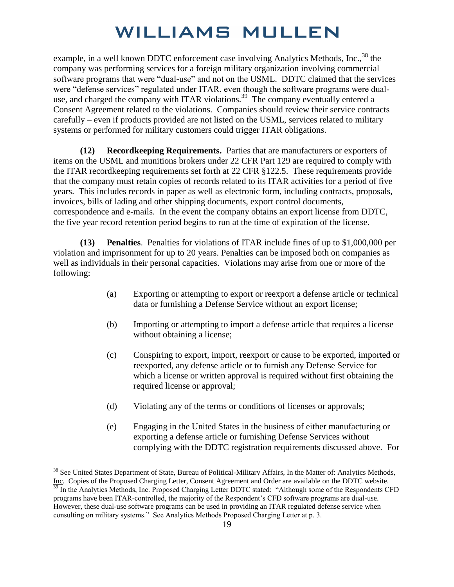example, in a well known DDTC enforcement case involving Analytics Methods, Inc.,<sup>38</sup> the company was performing services for a foreign military organization involving commercial software programs that were "dual-use" and not on the USML. DDTC claimed that the services were "defense services" regulated under ITAR, even though the software programs were dualuse, and charged the company with ITAR violations.<sup>39</sup> The company eventually entered a Consent Agreement related to the violations. Companies should review their service contracts carefully – even if products provided are not listed on the USML, services related to military systems or performed for military customers could trigger ITAR obligations.

**(12) Recordkeeping Requirements.** Parties that are manufacturers or exporters of items on the USML and munitions brokers under 22 CFR Part 129 are required to comply with the ITAR recordkeeping requirements set forth at 22 CFR §122.5. These requirements provide that the company must retain copies of records related to its ITAR activities for a period of five years. This includes records in paper as well as electronic form, including contracts, proposals, invoices, bills of lading and other shipping documents, export control documents, correspondence and e-mails. In the event the company obtains an export license from DDTC, the five year record retention period begins to run at the time of expiration of the license.

**(13) Penalties**. Penalties for violations of ITAR include fines of up to \$1,000,000 per violation and imprisonment for up to 20 years. Penalties can be imposed both on companies as well as individuals in their personal capacities. Violations may arise from one or more of the following:

- (a) Exporting or attempting to export or reexport a defense article or technical data or furnishing a Defense Service without an export license;
- (b) Importing or attempting to import a defense article that requires a license without obtaining a license;
- (c) Conspiring to export, import, reexport or cause to be exported, imported or reexported, any defense article or to furnish any Defense Service for which a license or written approval is required without first obtaining the required license or approval;
- (d) Violating any of the terms or conditions of licenses or approvals;
- (e) Engaging in the United States in the business of either manufacturing or exporting a defense article or furnishing Defense Services without complying with the DDTC registration requirements discussed above. For

<sup>&</sup>lt;sup>38</sup> See United States Department of State, Bureau of Political-Military Affairs, In the Matter of: Analytics Methods, Inc. Copies of the Proposed Charging Letter, Consent Agreement and Order are available on the DDTC website. <sup>39</sup> In the Analytics Methods, Inc. Proposed Charging Letter DDTC stated: "Although some of the Respondents CFD

programs have been ITAR-controlled, the majority of the Respondent's CFD software programs are dual-use. However, these dual-use software programs can be used in providing an ITAR regulated defense service when consulting on military systems." See Analytics Methods Proposed Charging Letter at p. 3.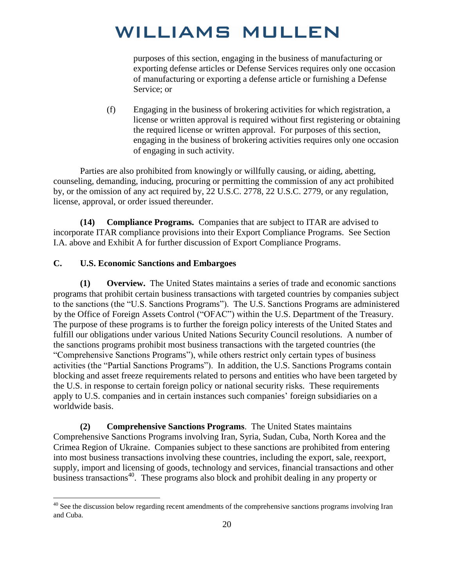purposes of this section, engaging in the business of manufacturing or exporting defense articles or Defense Services requires only one occasion of manufacturing or exporting a defense article or furnishing a Defense Service; or

(f) Engaging in the business of brokering activities for which registration, a license or written approval is required without first registering or obtaining the required license or written approval. For purposes of this section, engaging in the business of brokering activities requires only one occasion of engaging in such activity.

Parties are also prohibited from knowingly or willfully causing, or aiding, abetting, counseling, demanding, inducing, procuring or permitting the commission of any act prohibited by, or the omission of any act required by, 22 U.S.C. 2778, 22 U.S.C. 2779, or any regulation, license, approval, or order issued thereunder.

**(14) Compliance Programs.** Companies that are subject to ITAR are advised to incorporate ITAR compliance provisions into their Export Compliance Programs. See Section I.A. above and Exhibit A for further discussion of Export Compliance Programs.

#### **C. U.S. Economic Sanctions and Embargoes**

 $\overline{a}$ 

**(1) Overview.** The United States maintains a series of trade and economic sanctions programs that prohibit certain business transactions with targeted countries by companies subject to the sanctions (the "U.S. Sanctions Programs"). The U.S. Sanctions Programs are administered by the Office of Foreign Assets Control ("OFAC") within the U.S. Department of the Treasury. The purpose of these programs is to further the foreign policy interests of the United States and fulfill our obligations under various United Nations Security Council resolutions. A number of the sanctions programs prohibit most business transactions with the targeted countries (the "Comprehensive Sanctions Programs"), while others restrict only certain types of business activities (the "Partial Sanctions Programs"). In addition, the U.S. Sanctions Programs contain blocking and asset freeze requirements related to persons and entities who have been targeted by the U.S. in response to certain foreign policy or national security risks. These requirements apply to U.S. companies and in certain instances such companies' foreign subsidiaries on a worldwide basis.

**(2) Comprehensive Sanctions Programs**. The United States maintains Comprehensive Sanctions Programs involving Iran, Syria, Sudan, Cuba, North Korea and the Crimea Region of Ukraine. Companies subject to these sanctions are prohibited from entering into most business transactions involving these countries, including the export, sale, reexport, supply, import and licensing of goods, technology and services, financial transactions and other business transactions<sup>40</sup>. These programs also block and prohibit dealing in any property or

 $40$  See the discussion below regarding recent amendments of the comprehensive sanctions programs involving Iran and Cuba.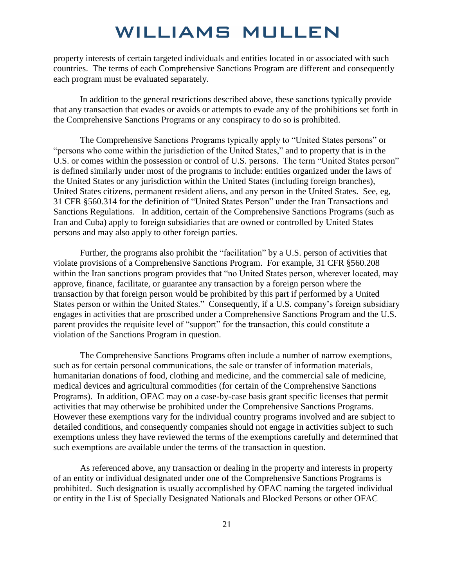property interests of certain targeted individuals and entities located in or associated with such countries. The terms of each Comprehensive Sanctions Program are different and consequently each program must be evaluated separately.

In addition to the general restrictions described above, these sanctions typically provide that any transaction that evades or avoids or attempts to evade any of the prohibitions set forth in the Comprehensive Sanctions Programs or any conspiracy to do so is prohibited.

 The Comprehensive Sanctions Programs typically apply to "United States persons" or "persons who come within the jurisdiction of the United States," and to property that is in the U.S. or comes within the possession or control of U.S. persons. The term "United States person" is defined similarly under most of the programs to include: entities organized under the laws of the United States or any jurisdiction within the United States (including foreign branches), United States citizens, permanent resident aliens, and any person in the United States. See, eg, 31 CFR §560.314 for the definition of "United States Person" under the Iran Transactions and Sanctions Regulations. In addition, certain of the Comprehensive Sanctions Programs (such as Iran and Cuba) apply to foreign subsidiaries that are owned or controlled by United States persons and may also apply to other foreign parties.

Further, the programs also prohibit the "facilitation" by a U.S. person of activities that violate provisions of a Comprehensive Sanctions Program. For example, 31 CFR §560.208 within the Iran sanctions program provides that "no United States person, wherever located, may approve, finance, facilitate, or guarantee any transaction by a foreign person where the transaction by that foreign person would be prohibited by this part if performed by a United States person or within the United States." Consequently, if a U.S. company's foreign subsidiary engages in activities that are proscribed under a Comprehensive Sanctions Program and the U.S. parent provides the requisite level of "support" for the transaction, this could constitute a violation of the Sanctions Program in question.

The Comprehensive Sanctions Programs often include a number of narrow exemptions, such as for certain personal communications, the sale or transfer of information materials, humanitarian donations of food, clothing and medicine, and the commercial sale of medicine, medical devices and agricultural commodities (for certain of the Comprehensive Sanctions Programs). In addition, OFAC may on a case-by-case basis grant specific licenses that permit activities that may otherwise be prohibited under the Comprehensive Sanctions Programs. However these exemptions vary for the individual country programs involved and are subject to detailed conditions, and consequently companies should not engage in activities subject to such exemptions unless they have reviewed the terms of the exemptions carefully and determined that such exemptions are available under the terms of the transaction in question.

As referenced above, any transaction or dealing in the property and interests in property of an entity or individual designated under one of the Comprehensive Sanctions Programs is prohibited. Such designation is usually accomplished by OFAC naming the targeted individual or entity in the List of Specially Designated Nationals and Blocked Persons or other OFAC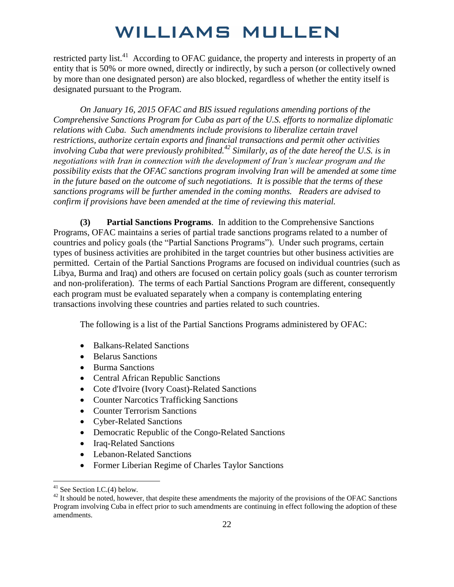restricted party list.<sup>41</sup> According to OFAC guidance, the property and interests in property of an entity that is 50% or more owned, directly or indirectly, by such a person (or collectively owned by more than one designated person) are also blocked, regardless of whether the entity itself is designated pursuant to the Program.

*On January 16, 2015 OFAC and BIS issued regulations amending portions of the Comprehensive Sanctions Program for Cuba as part of the U.S. efforts to normalize diplomatic relations with Cuba. Such amendments include provisions to liberalize certain travel restrictions, authorize certain exports and financial transactions and permit other activities involving Cuba that were previously prohibited.<sup>42</sup> Similarly, as of the date hereof the U.S. is in negotiations with Iran in connection with the development of Iran's nuclear program and the possibility exists that the OFAC sanctions program involving Iran will be amended at some time in the future based on the outcome of such negotiations. It is possible that the terms of these sanctions programs will be further amended in the coming months. Readers are advised to confirm if provisions have been amended at the time of reviewing this material.* 

**(3) Partial Sanctions Programs**. In addition to the Comprehensive Sanctions Programs, OFAC maintains a series of partial trade sanctions programs related to a number of countries and policy goals (the "Partial Sanctions Programs"). Under such programs, certain types of business activities are prohibited in the target countries but other business activities are permitted. Certain of the Partial Sanctions Programs are focused on individual countries (such as Libya, Burma and Iraq) and others are focused on certain policy goals (such as counter terrorism and non-proliferation). The terms of each Partial Sanctions Program are different, consequently each program must be evaluated separately when a company is contemplating entering transactions involving these countries and parties related to such countries.

The following is a list of the Partial Sanctions Programs administered by OFAC:

- Balkans-Related Sanctions
- Belarus Sanctions
- Burma Sanctions
- Central African Republic Sanctions
- Cote d'Ivoire (Ivory Coast)-Related Sanctions
- Counter Narcotics Trafficking Sanctions
- Counter Terrorism Sanctions
- Cyber-Related Sanctions
- Democratic Republic of the Congo-Related Sanctions
- Iraq-Related Sanctions
- Lebanon-Related Sanctions
- Former Liberian Regime of Charles Taylor Sanctions

<sup>&</sup>lt;sup>41</sup> See Section I.C.(4) below.

 $42$  It should be noted, however, that despite these amendments the majority of the provisions of the OFAC Sanctions Program involving Cuba in effect prior to such amendments are continuing in effect following the adoption of these amendments.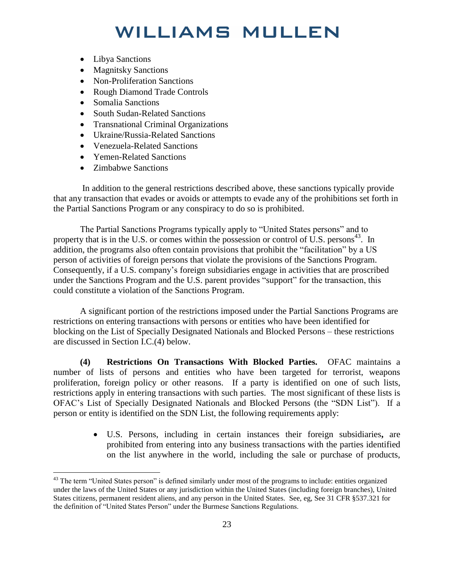- Libya Sanctions
- Magnitsky Sanctions
- Non-Proliferation Sanctions
- Rough Diamond Trade Controls
- Somalia Sanctions
- South Sudan-Related Sanctions
- Transnational Criminal Organizations
- Ukraine/Russia-Related Sanctions
- Venezuela-Related Sanctions
- Yemen-Related Sanctions
- Zimbabwe Sanctions

 $\overline{a}$ 

 In addition to the general restrictions described above, these sanctions typically provide that any transaction that evades or avoids or attempts to evade any of the prohibitions set forth in the Partial Sanctions Program or any conspiracy to do so is prohibited.

The Partial Sanctions Programs typically apply to "United States persons" and to property that is in the U.S. or comes within the possession or control of U.S. persons<sup>43</sup>. In addition, the programs also often contain provisions that prohibit the "facilitation" by a US person of activities of foreign persons that violate the provisions of the Sanctions Program. Consequently, if a U.S. company's foreign subsidiaries engage in activities that are proscribed under the Sanctions Program and the U.S. parent provides "support" for the transaction, this could constitute a violation of the Sanctions Program.

A significant portion of the restrictions imposed under the Partial Sanctions Programs are restrictions on entering transactions with persons or entities who have been identified for blocking on the List of Specially Designated Nationals and Blocked Persons – these restrictions are discussed in Section I.C.(4) below.

**(4) Restrictions On Transactions With Blocked Parties.** OFAC maintains a number of lists of persons and entities who have been targeted for terrorist, weapons proliferation, foreign policy or other reasons. If a party is identified on one of such lists, restrictions apply in entering transactions with such parties. The most significant of these lists is OFAC's List of Specially Designated Nationals and Blocked Persons (the "SDN List"). If a person or entity is identified on the SDN List, the following requirements apply:

> U.S. Persons, including in certain instances their foreign subsidiaries**,** are prohibited from entering into any business transactions with the parties identified on the list anywhere in the world, including the sale or purchase of products,

<sup>&</sup>lt;sup>43</sup> The term "United States person" is defined similarly under most of the programs to include: entities organized under the laws of the United States or any jurisdiction within the United States (including foreign branches), United States citizens, permanent resident aliens, and any person in the United States. See, eg, See 31 CFR §537.321 for the definition of "United States Person" under the Burmese Sanctions Regulations.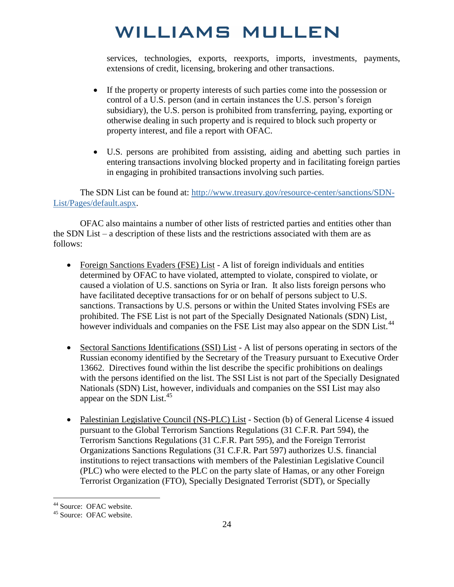services, technologies, exports, reexports, imports, investments, payments, extensions of credit, licensing, brokering and other transactions.

- If the property or property interests of such parties come into the possession or control of a U.S. person (and in certain instances the U.S. person's foreign subsidiary), the U.S. person is prohibited from transferring, paying, exporting or otherwise dealing in such property and is required to block such property or property interest, and file a report with OFAC.
- U.S. persons are prohibited from assisting, aiding and abetting such parties in entering transactions involving blocked property and in facilitating foreign parties in engaging in prohibited transactions involving such parties.

The SDN List can be found at: [http://www.treasury.gov/resource-center/sanctions/SDN-](http://www.treasury.gov/resource-center/sanctions/SDN-List/Pages/default.aspx)[List/Pages/default.aspx.](http://www.treasury.gov/resource-center/sanctions/SDN-List/Pages/default.aspx)

OFAC also maintains a number of other lists of restricted parties and entities other than the SDN List – a description of these lists and the restrictions associated with them are as follows:

- Foreign Sanctions Evaders (FSE) List A list of foreign individuals and entities determined by OFAC to have violated, attempted to violate, conspired to violate, or caused a violation of U.S. sanctions on Syria or Iran. It also lists foreign persons who have facilitated deceptive transactions for or on behalf of persons subject to U.S. sanctions. Transactions by U.S. persons or within the United States involving FSEs are prohibited. The FSE List is not part of the Specially Designated Nationals (SDN) List, however individuals and companies on the FSE List may also appear on the SDN List.<sup>44</sup>
- Sectoral Sanctions Identifications (SSI) List A list of persons operating in sectors of the Russian economy identified by the Secretary of the Treasury pursuant to Executive Order 13662. Directives found within the list describe the specific prohibitions on dealings with the persons identified on the list. The SSI List is not part of the Specially Designated Nationals (SDN) List, however, individuals and companies on the SSI List may also appear on the SDN List. $45$
- Palestinian Legislative Council (NS-PLC) List Section (b) of General License 4 issued pursuant to the Global Terrorism Sanctions Regulations (31 C.F.R. Part 594), the Terrorism Sanctions Regulations (31 C.F.R. Part 595), and the Foreign Terrorist Organizations Sanctions Regulations (31 C.F.R. Part 597) authorizes U.S. financial institutions to reject transactions with members of the Palestinian Legislative Council (PLC) who were elected to the PLC on the party slate of Hamas, or any other Foreign Terrorist Organization (FTO), Specially Designated Terrorist (SDT), or Specially

<sup>&</sup>lt;sup>44</sup> Source: OFAC website.

<sup>45</sup> Source: OFAC website.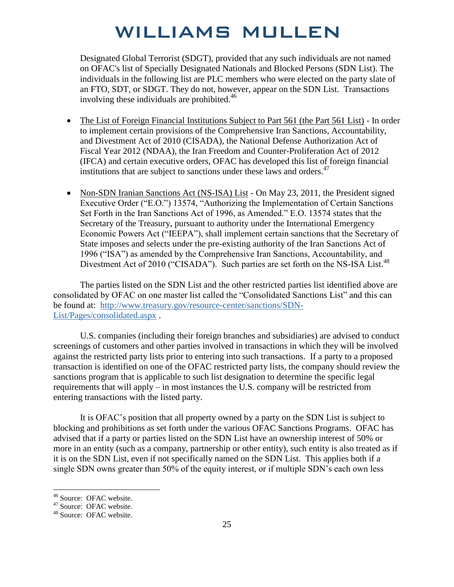Designated Global Terrorist (SDGT), provided that any such individuals are not named on OFAC's list of Specially Designated Nationals and Blocked Persons (SDN List). The individuals in the following list are PLC members who were elected on the party slate of an FTO, SDT, or SDGT. They do not, however, appear on the SDN List. Transactions involving these individuals are prohibited.<sup>46</sup>

- The List of Foreign Financial Institutions Subject to Part 561 (the Part 561 List) In order to implement certain provisions of the Comprehensive Iran Sanctions, Accountability, and Divestment Act of 2010 (CISADA), the National Defense Authorization Act of Fiscal Year 2012 (NDAA), the Iran Freedom and Counter-Proliferation Act of 2012 (IFCA) and certain executive orders, OFAC has developed this list of foreign financial institutions that are subject to sanctions under these laws and orders.<sup>47</sup>
- Non-SDN Iranian Sanctions Act (NS-ISA) List On May 23, 2011, the President signed Executive Order ("E.O.") 13574, "Authorizing the Implementation of Certain Sanctions Set Forth in the Iran Sanctions Act of 1996, as Amended." E.O. 13574 states that the Secretary of the Treasury, pursuant to authority under the International Emergency Economic Powers Act ("IEEPA"), shall implement certain sanctions that the Secretary of State imposes and selects under the pre-existing authority of the Iran Sanctions Act of 1996 ("ISA") as amended by the Comprehensive Iran Sanctions, Accountability, and Divestment Act of 2010 ("CISADA"). Such parties are set forth on the NS-ISA List.<sup>48</sup>

The parties listed on the SDN List and the other restricted parties list identified above are consolidated by OFAC on one master list called the "Consolidated Sanctions List" and this can be found at: [http://www.treasury.gov/resource-center/sanctions/SDN-](http://www.treasury.gov/resource-center/sanctions/SDN-List/Pages/consolidated.aspx)[List/Pages/consolidated.aspx](http://www.treasury.gov/resource-center/sanctions/SDN-List/Pages/consolidated.aspx) .

U.S. companies (including their foreign branches and subsidiaries) are advised to conduct screenings of customers and other parties involved in transactions in which they will be involved against the restricted party lists prior to entering into such transactions. If a party to a proposed transaction is identified on one of the OFAC restricted party lists, the company should review the sanctions program that is applicable to such list designation to determine the specific legal requirements that will apply – in most instances the U.S. company will be restricted from entering transactions with the listed party.

It is OFAC's position that all property owned by a party on the SDN List is subject to blocking and prohibitions as set forth under the various OFAC Sanctions Programs. OFAC has advised that if a party or parties listed on the SDN List have an ownership interest of 50% or more in an entity (such as a company, partnership or other entity), such entity is also treated as if it is on the SDN List, even if not specifically named on the SDN List. This applies both if a single SDN owns greater than 50% of the equity interest, or if multiple SDN's each own less

<sup>46</sup> Source: OFAC website.

<sup>&</sup>lt;sup>47</sup> Source: OFAC website.

<sup>48</sup> Source: OFAC website.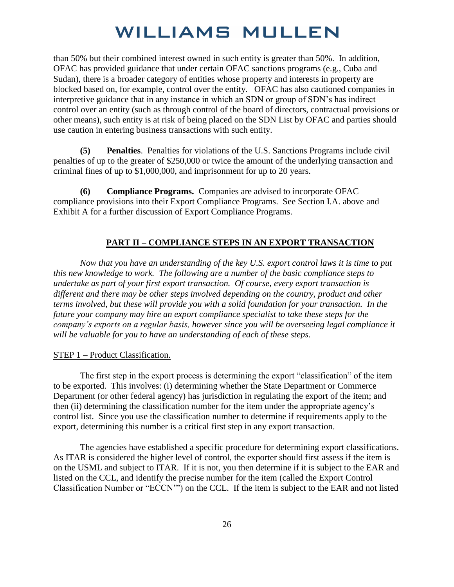than 50% but their combined interest owned in such entity is greater than 50%. In addition, OFAC has provided guidance that under certain OFAC sanctions programs (e.g., Cuba and Sudan), there is a broader category of entities whose property and interests in property are blocked based on, for example, control over the entity. OFAC has also cautioned companies in interpretive guidance that in any instance in which an SDN or group of SDN's has indirect control over an entity (such as through control of the board of directors, contractual provisions or other means), such entity is at risk of being placed on the SDN List by OFAC and parties should use caution in entering business transactions with such entity.

**(5) Penalties**. Penalties for violations of the U.S. Sanctions Programs include civil penalties of up to the greater of \$250,000 or twice the amount of the underlying transaction and criminal fines of up to \$1,000,000, and imprisonment for up to 20 years.

**(6) Compliance Programs.** Companies are advised to incorporate OFAC compliance provisions into their Export Compliance Programs. See Section I.A. above and Exhibit A for a further discussion of Export Compliance Programs.

#### **PART II – COMPLIANCE STEPS IN AN EXPORT TRANSACTION**

*Now that you have an understanding of the key U.S. export control laws it is time to put this new knowledge to work. The following are a number of the basic compliance steps to undertake as part of your first export transaction. Of course, every export transaction is different and there may be other steps involved depending on the country, product and other terms involved, but these will provide you with a solid foundation for your transaction. In the future your company may hire an export compliance specialist to take these steps for the company's exports on a regular basis, however since you will be overseeing legal compliance it will be valuable for you to have an understanding of each of these steps.* 

#### STEP 1 – Product Classification.

The first step in the export process is determining the export "classification" of the item to be exported. This involves: (i) determining whether the State Department or Commerce Department (or other federal agency) has jurisdiction in regulating the export of the item; and then (ii) determining the classification number for the item under the appropriate agency's control list. Since you use the classification number to determine if requirements apply to the export, determining this number is a critical first step in any export transaction.

 The agencies have established a specific procedure for determining export classifications. As ITAR is considered the higher level of control, the exporter should first assess if the item is on the USML and subject to ITAR. If it is not, you then determine if it is subject to the EAR and listed on the CCL, and identify the precise number for the item (called the Export Control Classification Number or "ECCN'") on the CCL. If the item is subject to the EAR and not listed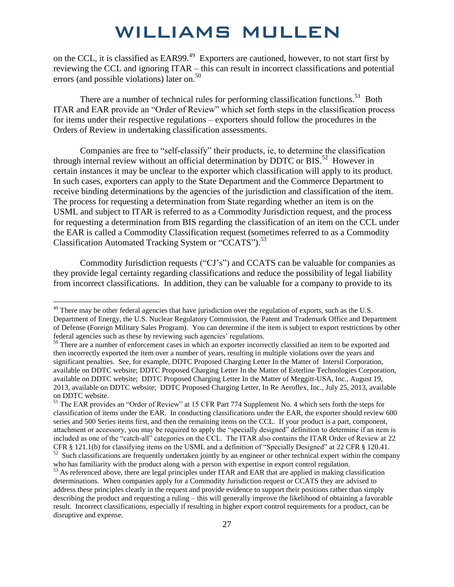on the CCL, it is classified as EAR99.<sup>49</sup> Exporters are cautioned, however, to not start first by reviewing the CCL and ignoring ITAR – this can result in incorrect classifications and potential errors (and possible violations) later on.<sup>50</sup>

There are a number of technical rules for performing classification functions.<sup>51</sup> Both ITAR and EAR provide an "Order of Review" which set forth steps in the classification process for items under their respective regulations – exporters should follow the procedures in the Orders of Review in undertaking classification assessments.

 Companies are free to "self-classify" their products, ie, to determine the classification through internal review without an official determination by DDTC or  $BIS$ <sup>52</sup> However in certain instances it may be unclear to the exporter which classification will apply to its product. In such cases, exporters can apply to the State Department and the Commerce Department to receive binding determinations by the agencies of the jurisdiction and classification of the item. The process for requesting a determination from State regarding whether an item is on the USML and subject to ITAR is referred to as a Commodity Jurisdiction request, and the process for requesting a determination from BIS regarding the classification of an item on the CCL under the EAR is called a Commodity Classification request (sometimes referred to as a Commodity Classification Automated Tracking System or "CCATS").<sup>53</sup>

Commodity Jurisdiction requests ("CJ's") and CCATS can be valuable for companies as they provide legal certainty regarding classifications and reduce the possibility of legal liability from incorrect classifications. In addition, they can be valuable for a company to provide to its

 $49$  There may be other federal agencies that have jurisdiction over the regulation of exports, such as the U.S. Department of Energy, the U.S. Nuclear Regulatory Commission, the Patent and Trademark Office and Department of Defense (Foreign Military Sales Program). You can determine if the item is subject to export restrictions by other federal agencies such as these by reviewing such agencies' regulations.

<sup>&</sup>lt;sup>50</sup> There are a number of enforcement cases in which an exporter incorrectly classified an item to be exported and then incorrectly exported the item over a number of years, resulting in multiple violations over the years and significant penalties. See, for example, DDTC Proposed Charging Letter In the Matter of Intersil Corporation, available on DDTC website; DDTC Proposed Charging Letter In the Matter of Esterline Technologies Corporation, available on DDTC website; DDTC Proposed Charging Letter In the Matter of Meggitt-USA, Inc., August 19, 2013, available on DDTC website; DDTC Proposed Charging Letter, In Re Aeroflex, Inc., July 25, 2013, available on DDTC website.

<sup>&</sup>lt;sup>51</sup> The EAR provides an "Order of Review" at 15 CFR Part 774 Supplement No. 4 which sets forth the steps for classification of items under the EAR. In conducting classifications under the EAR, the exporter should review 600 series and 500 Series items first, and then the remaining items on the CCL. If your product is a part, component, attachment or accessory, you may be required to apply the "specially designed" definition to determine if an item is included as one of the "catch-all" categories on the CCL. The ITAR also contains the ITAR Order of Review at 22 CFR § 121.1(b) for classifying items on the USML and a definition of "Specially Designed" at 22 CFR § 120.41.  $52$  Such classifications are frequently undertaken jointly by an engineer or other technical expert within the company who has familiarity with the product along with a person with expertise in export control regulation.

 $53$  As referenced above, there are legal principles under ITAR and EAR that are applied in making classification determinations. When companies apply for a Commodity Jurisdiction request or CCATS they are advised to address these principles clearly in the request and provide evidence to support their positions rather than simply describing the product and requesting a ruling – this will generally improve the likelihood of obtaining a favorable result. Incorrect classifications, especially if resulting in higher export control requirements for a product, can be disruptive and expense.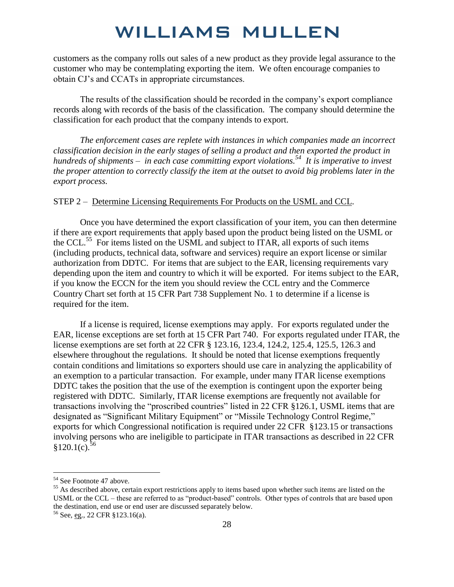customers as the company rolls out sales of a new product as they provide legal assurance to the customer who may be contemplating exporting the item. We often encourage companies to obtain CJ's and CCATs in appropriate circumstances.

The results of the classification should be recorded in the company's export compliance records along with records of the basis of the classification. The company should determine the classification for each product that the company intends to export.

*The enforcement cases are replete with instances in which companies made an incorrect classification decision in the early stages of selling a product and then exported the product in hundreds of shipments – in each case committing export violations.<sup>54</sup> It is imperative to invest the proper attention to correctly classify the item at the outset to avoid big problems later in the export process.* 

#### STEP 2 – Determine Licensing Requirements For Products on the USML and CCL.

Once you have determined the export classification of your item, you can then determine if there are export requirements that apply based upon the product being listed on the USML or the CCL.<sup>55</sup> For items listed on the USML and subject to ITAR, all exports of such items (including products, technical data, software and services) require an export license or similar authorization from DDTC. For items that are subject to the EAR, licensing requirements vary depending upon the item and country to which it will be exported. For items subject to the EAR, if you know the ECCN for the item you should review the CCL entry and the Commerce Country Chart set forth at 15 CFR Part 738 Supplement No. 1 to determine if a license is required for the item.

If a license is required, license exemptions may apply. For exports regulated under the EAR, license exceptions are set forth at 15 CFR Part 740. For exports regulated under ITAR, the license exemptions are set forth at 22 CFR § 123.16, 123.4, 124.2, 125.4, 125.5, 126.3 and elsewhere throughout the regulations. It should be noted that license exemptions frequently contain conditions and limitations so exporters should use care in analyzing the applicability of an exemption to a particular transaction. For example, under many ITAR license exemptions DDTC takes the position that the use of the exemption is contingent upon the exporter being registered with DDTC. Similarly, ITAR license exemptions are frequently not available for transactions involving the "proscribed countries" listed in 22 CFR §126.1, USML items that are designated as "Significant Military Equipment" or "Missile Technology Control Regime," exports for which Congressional notification is required under 22 CFR §123.15 or transactions involving persons who are ineligible to participate in ITAR transactions as described in 22 CFR  $$120.1(c).$ <sup>56</sup>

<sup>54</sup> See Footnote 47 above.

<sup>&</sup>lt;sup>55</sup> As described above, certain export restrictions apply to items based upon whether such items are listed on the USML or the CCL – these are referred to as "product-based" controls. Other types of controls that are based upon the destination, end use or end user are discussed separately below.

<sup>56</sup> See, eg., 22 CFR §123.16(a).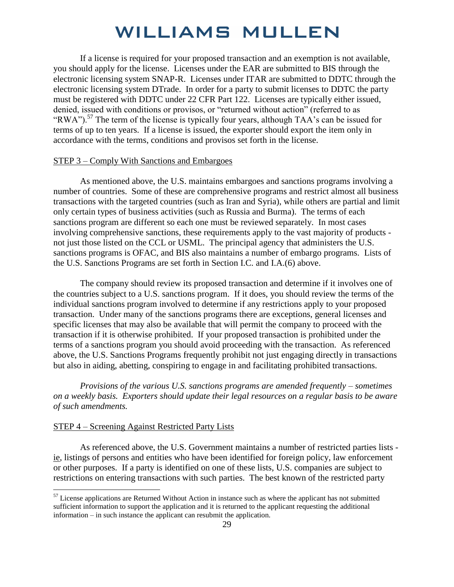If a license is required for your proposed transaction and an exemption is not available, you should apply for the license. Licenses under the EAR are submitted to BIS through the electronic licensing system SNAP-R. Licenses under ITAR are submitted to DDTC through the electronic licensing system DTrade. In order for a party to submit licenses to DDTC the party must be registered with DDTC under 22 CFR Part 122. Licenses are typically either issued, denied, issued with conditions or provisos, or "returned without action" (referred to as "RWA").<sup>57</sup> The term of the license is typically four years, although TAA's can be issued for terms of up to ten years. If a license is issued, the exporter should export the item only in accordance with the terms, conditions and provisos set forth in the license.

#### STEP 3 – Comply With Sanctions and Embargoes

 As mentioned above, the U.S. maintains embargoes and sanctions programs involving a number of countries. Some of these are comprehensive programs and restrict almost all business transactions with the targeted countries (such as Iran and Syria), while others are partial and limit only certain types of business activities (such as Russia and Burma). The terms of each sanctions program are different so each one must be reviewed separately. In most cases involving comprehensive sanctions, these requirements apply to the vast majority of products not just those listed on the CCL or USML. The principal agency that administers the U.S. sanctions programs is OFAC, and BIS also maintains a number of embargo programs. Lists of the U.S. Sanctions Programs are set forth in Section I.C. and I.A.(6) above.

 The company should review its proposed transaction and determine if it involves one of the countries subject to a U.S. sanctions program. If it does, you should review the terms of the individual sanctions program involved to determine if any restrictions apply to your proposed transaction. Under many of the sanctions programs there are exceptions, general licenses and specific licenses that may also be available that will permit the company to proceed with the transaction if it is otherwise prohibited. If your proposed transaction is prohibited under the terms of a sanctions program you should avoid proceeding with the transaction. As referenced above, the U.S. Sanctions Programs frequently prohibit not just engaging directly in transactions but also in aiding, abetting, conspiring to engage in and facilitating prohibited transactions.

*Provisions of the various U.S. sanctions programs are amended frequently – sometimes on a weekly basis. Exporters should update their legal resources on a regular basis to be aware of such amendments.*

#### STEP 4 – Screening Against Restricted Party Lists

 $\overline{a}$ 

As referenced above, the U.S. Government maintains a number of restricted parties lists ie, listings of persons and entities who have been identified for foreign policy, law enforcement or other purposes. If a party is identified on one of these lists, U.S. companies are subject to restrictions on entering transactions with such parties. The best known of the restricted party

<sup>&</sup>lt;sup>57</sup> License applications are Returned Without Action in instance such as where the applicant has not submitted sufficient information to support the application and it is returned to the applicant requesting the additional information – in such instance the applicant can resubmit the application.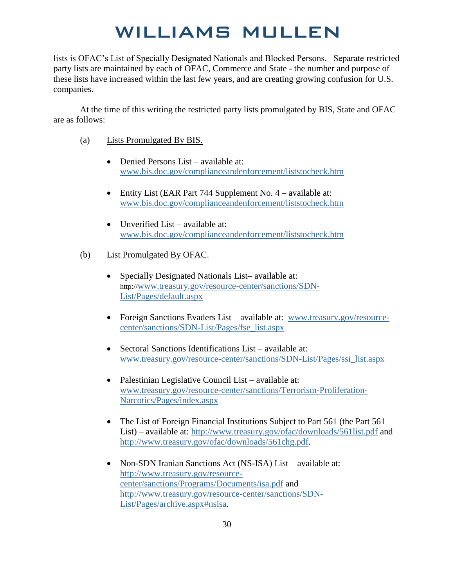lists is OFAC's List of Specially Designated Nationals and Blocked Persons. Separate restricted party lists are maintained by each of OFAC, Commerce and State - the number and purpose of these lists have increased within the last few years, and are creating growing confusion for U.S. companies.

At the time of this writing the restricted party lists promulgated by BIS, State and OFAC are as follows:

- (a) Lists Promulgated By BIS.
	- Denied Persons List available at: [www.bis.doc.gov/complianceandenforcement/liststocheck.htm](http://www.bis.doc.gov/complianceandenforcement/liststocheck.htm)
	- Entity List (EAR Part 744 Supplement No. 4 available at: [www.bis.doc.gov/complianceandenforcement/liststocheck.htm](http://www.bis.doc.gov/complianceandenforcement/liststocheck.htm)
	- $\bullet$  Unverified List available at: [www.bis.doc.gov/complianceandenforcement/liststocheck.htm](http://www.bis.doc.gov/complianceandenforcement/liststocheck.htm)
- (b) List Promulgated By OFAC.
	- Specially Designated Nationals List– available at: http://[www.treasury.gov/resource-center/sanctions/SDN-](http://www.treasury.gov/resource-center/sanctions/SDN-List/Pages/default.aspx)[List/Pages/default.aspx](http://www.treasury.gov/resource-center/sanctions/SDN-List/Pages/default.aspx)
	- Foreign Sanctions Evaders List available at: [www.treasury.gov/resource](http://www.treasury.gov/resource-center/sanctions/SDN-List/Pages/fse_list.aspx)[center/sanctions/SDN-List/Pages/fse\\_list.aspx](http://www.treasury.gov/resource-center/sanctions/SDN-List/Pages/fse_list.aspx)
	- Sectoral Sanctions Identifications List available at: [www.treasury.gov/resource-center/sanctions/SDN-List/Pages/ssi\\_list.aspx](http://www.treasury.gov/resource-center/sanctions/SDN-List/Pages/ssi_list.aspx)
	- Palestinian Legislative Council List available at: [www.treasury.gov/resource-center/sanctions/Terrorism-Proliferation-](http://www.treasury.gov/resource-center/sanctions/Terrorism-Proliferation-Narcotics/Pages/index.aspx)[Narcotics/Pages/index.aspx](http://www.treasury.gov/resource-center/sanctions/Terrorism-Proliferation-Narcotics/Pages/index.aspx)
	- The List of Foreign Financial Institutions Subject to Part 561 (the Part 561) List) – available at:<http://www.treasury.gov/ofac/downloads/561list.pdf>and [http://www.treasury.gov/ofac/downloads/561chg.pdf.](http://www.treasury.gov/ofac/downloads/561chg.pdf)
	- Non-SDN Iranian Sanctions Act (NS-ISA) List available at: [http://www.treasury.gov/resource](http://www.treasury.gov/resource-center/sanctions/Programs/Documents/isa.pdf)[center/sanctions/Programs/Documents/isa.pdf](http://www.treasury.gov/resource-center/sanctions/Programs/Documents/isa.pdf) and [http://www.treasury.gov/resource-center/sanctions/SDN-](http://www.treasury.gov/resource-center/sanctions/SDN-List/Pages/archive.aspx#nsisa)[List/Pages/archive.aspx#nsisa.](http://www.treasury.gov/resource-center/sanctions/SDN-List/Pages/archive.aspx#nsisa)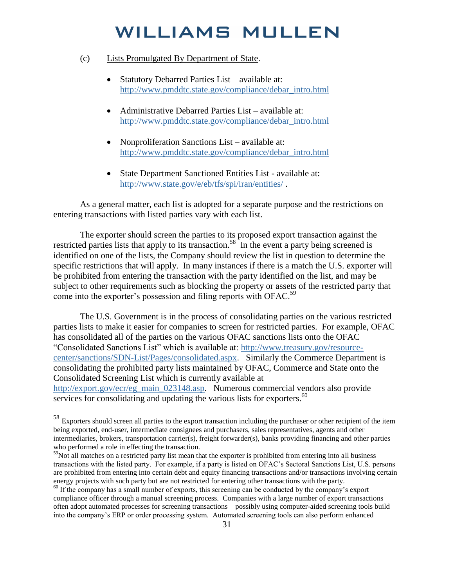#### (c) Lists Promulgated By Department of State.

- Statutory Debarred Parties List available at: [http://www.pmddtc.state.gov/compliance/debar\\_intro.html](http://www.pmddtc.state.gov/compliance/debar_intro.html)
- Administrative Debarred Parties List available at: [http://www.pmddtc.state.gov/compliance/debar\\_intro.html](http://www.pmddtc.state.gov/compliance/debar_intro.html)
- Nonproliferation Sanctions List available at: [http://www.pmddtc.state.gov/compliance/debar\\_intro.html](http://www.pmddtc.state.gov/compliance/debar_intro.html)
- State Department Sanctioned Entities List available at: <http://www.state.gov/e/eb/tfs/spi/iran/entities/>.

As a general matter, each list is adopted for a separate purpose and the restrictions on entering transactions with listed parties vary with each list.

The exporter should screen the parties to its proposed export transaction against the restricted parties lists that apply to its transaction.<sup>58</sup> In the event a party being screened is identified on one of the lists, the Company should review the list in question to determine the specific restrictions that will apply. In many instances if there is a match the U.S. exporter will be prohibited from entering the transaction with the party identified on the list, and may be subject to other requirements such as blocking the property or assets of the restricted party that come into the exporter's possession and filing reports with OFAC.<sup>59</sup>

 The U.S. Government is in the process of consolidating parties on the various restricted parties lists to make it easier for companies to screen for restricted parties. For example, OFAC has consolidated all of the parties on the various OFAC sanctions lists onto the OFAC "Consolidated Sanctions List" which is available at: [http://www.treasury.gov/resource](http://www.treasury.gov/resource-center/sanctions/SDN-List/Pages/consolidated.aspx)[center/sanctions/SDN-List/Pages/consolidated.aspx.](http://www.treasury.gov/resource-center/sanctions/SDN-List/Pages/consolidated.aspx) Similarly the Commerce Department is consolidating the prohibited party lists maintained by OFAC, Commerce and State onto the Consolidated Screening List which is currently available at [http://export.gov/ecr/eg\\_main\\_023148.asp.](http://export.gov/ecr/eg_main_023148.asp) Numerous commercial vendors also provide services for consolidating and updating the various lists for exporters.<sup>60</sup>

 $58$  Exporters should screen all parties to the export transaction including the purchaser or other recipient of the item being exported, end-user, intermediate consignees and purchasers, sales representatives, agents and other intermediaries, brokers, transportation carrier(s), freight forwarder(s), banks providing financing and other parties who performed a role in effecting the transaction.

 $59$ Not all matches on a restricted party list mean that the exporter is prohibited from entering into all business transactions with the listed party. For example, if a party is listed on OFAC's Sectoral Sanctions List, U.S. persons are prohibited from entering into certain debt and equity financing transactions and/or transactions involving certain energy projects with such party but are not restricted for entering other transactions with the party.

<sup>&</sup>lt;sup>60</sup> If the company has a small number of exports, this screening can be conducted by the company's export compliance officer through a manual screening process. Companies with a large number of export transactions often adopt automated processes for screening transactions – possibly using computer-aided screening tools build into the company's ERP or order processing system. Automated screening tools can also perform enhanced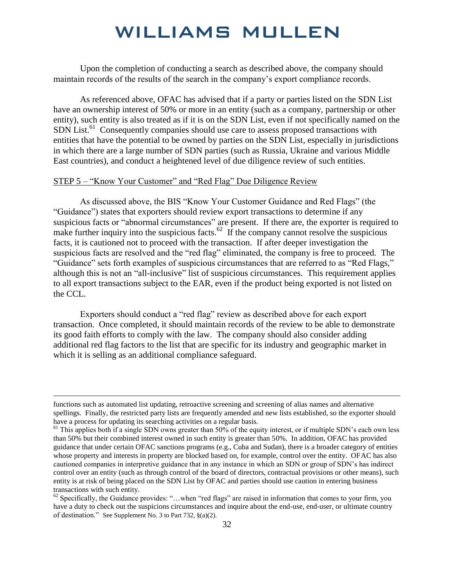Upon the completion of conducting a search as described above, the company should maintain records of the results of the search in the company's export compliance records.

As referenced above, OFAC has advised that if a party or parties listed on the SDN List have an ownership interest of 50% or more in an entity (such as a company, partnership or other entity), such entity is also treated as if it is on the SDN List, even if not specifically named on the SDN List.<sup>61</sup> Consequently companies should use care to assess proposed transactions with entities that have the potential to be owned by parties on the SDN List, especially in jurisdictions in which there are a large number of SDN parties (such as Russia, Ukraine and various Middle East countries), and conduct a heightened level of due diligence review of such entities.

#### STEP 5 – "Know Your Customer" and "Red Flag" Due Diligence Review

 $\overline{a}$ 

As discussed above, the BIS "Know Your Customer Guidance and Red Flags" (the "Guidance") states that exporters should review export transactions to determine if any suspicious facts or "abnormal circumstances" are present. If there are, the exporter is required to make further inquiry into the suspicious facts.<sup>62</sup> If the company cannot resolve the suspicious facts, it is cautioned not to proceed with the transaction. If after deeper investigation the suspicious facts are resolved and the "red flag" eliminated, the company is free to proceed. The "Guidance" sets forth examples of suspicious circumstances that are referred to as "Red Flags," although this is not an "all-inclusive" list of suspicious circumstances. This requirement applies to all export transactions subject to the EAR, even if the product being exported is not listed on the CCL.

Exporters should conduct a "red flag" review as described above for each export transaction. Once completed, it should maintain records of the review to be able to demonstrate its good faith efforts to comply with the law. The company should also consider adding additional red flag factors to the list that are specific for its industry and geographic market in which it is selling as an additional compliance safeguard.

functions such as automated list updating, retroactive screening and screening of alias names and alternative spellings. Finally, the restricted party lists are frequently amended and new lists established, so the exporter should have a process for updating its searching activities on a regular basis.

 $<sup>61</sup>$  This applies both if a single SDN owns greater than 50% of the equity interest, or if multiple SDN's each own less</sup> than 50% but their combined interest owned in such entity is greater than 50%. In addition, OFAC has provided guidance that under certain OFAC sanctions programs (e.g., Cuba and Sudan), there is a broader category of entities whose property and interests in property are blocked based on, for example, control over the entity. OFAC has also cautioned companies in interpretive guidance that in any instance in which an SDN or group of SDN's has indirect control over an entity (such as through control of the board of directors, contractual provisions or other means), such entity is at risk of being placed on the SDN List by OFAC and parties should use caution in entering business transactions with such entity.

 $62$  Specifically, the Guidance provides: "...when "red flags" are raised in information that comes to your firm, you have a duty to check out the suspicions circumstances and inquire about the end-use, end-user, or ultimate country of destination." See Supplement No. 3 to Part 732, §(a)(2).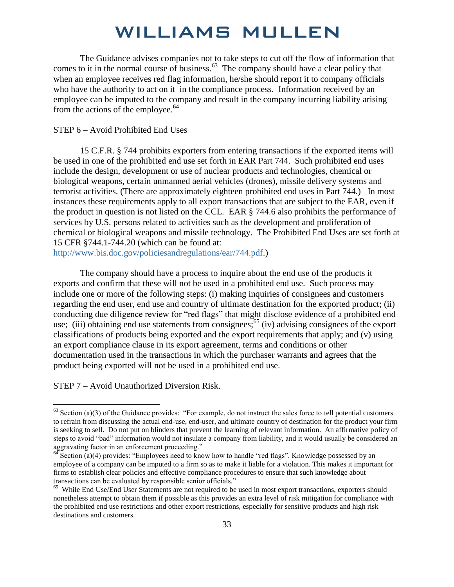The Guidance advises companies not to take steps to cut off the flow of information that comes to it in the normal course of business. $63$  The company should have a clear policy that when an employee receives red flag information, he/she should report it to company officials who have the authority to act on it in the compliance process. Information received by an employee can be imputed to the company and result in the company incurring liability arising from the actions of the employee. $64$ 

#### STEP 6 – Avoid Prohibited End Uses

 15 C.F.R. § 744 prohibits exporters from entering transactions if the exported items will be used in one of the prohibited end use set forth in EAR Part 744. Such prohibited end uses include the design, development or use of nuclear products and technologies, chemical or biological weapons, certain unmanned aerial vehicles (drones), missile delivery systems and terrorist activities. (There are approximately eighteen prohibited end uses in Part 744.) In most instances these requirements apply to all export transactions that are subject to the EAR, even if the product in question is not listed on the CCL. EAR § 744.6 also prohibits the performance of services by U.S. persons related to activities such as the development and proliferation of chemical or biological weapons and missile technology. The Prohibited End Uses are set forth at 15 CFR §744.1-744.20 (which can be found at:

[http://www.bis.doc.gov/policiesandregulations/ear/744.pdf.](http://www.bis.doc.gov/policiesandregulations/ear/744.pdf))

The company should have a process to inquire about the end use of the products it exports and confirm that these will not be used in a prohibited end use. Such process may include one or more of the following steps: (i) making inquiries of consignees and customers regarding the end user, end use and country of ultimate destination for the exported product; (ii) conducting due diligence review for "red flags" that might disclose evidence of a prohibited end use; (iii) obtaining end use statements from consignees;<sup>65</sup> (iv) advising consignees of the export classifications of products being exported and the export requirements that apply; and (v) using an export compliance clause in its export agreement, terms and conditions or other documentation used in the transactions in which the purchaser warrants and agrees that the product being exported will not be used in a prohibited end use.

#### STEP 7 – Avoid Unauthorized Diversion Risk.

 $63$  Section (a)(3) of the Guidance provides: "For example, do not instruct the sales force to tell potential customers to refrain from discussing the actual end-use, end-user, and ultimate country of destination for the product your firm is seeking to sell. Do not put on blinders that prevent the learning of relevant information. An affirmative policy of steps to avoid "bad" information would not insulate a company from liability, and it would usually be considered an aggravating factor in an enforcement proceeding."

 $64$  Section (a)(4) provides: "Employees need to know how to handle "red flags". Knowledge possessed by an employee of a company can be imputed to a firm so as to make it liable for a violation. This makes it important for firms to establish clear policies and effective compliance procedures to ensure that such knowledge about transactions can be evaluated by responsible senior officials."

<sup>&</sup>lt;sup>65</sup> While End Use/End User Statements are not required to be used in most export transactions, exporters should nonetheless attempt to obtain them if possible as this provides an extra level of risk mitigation for compliance with the prohibited end use restrictions and other export restrictions, especially for sensitive products and high risk destinations and customers.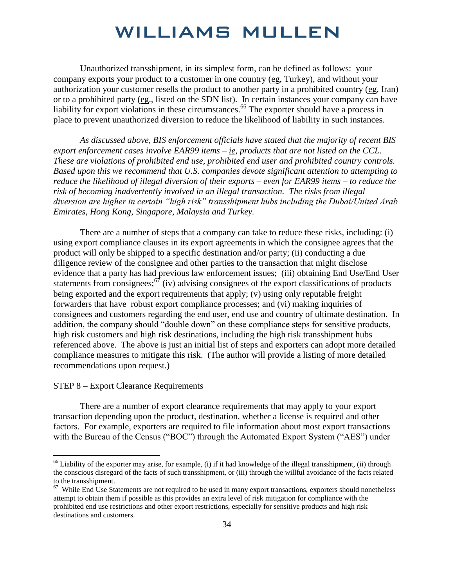Unauthorized transshipment, in its simplest form, can be defined as follows: your company exports your product to a customer in one country (eg, Turkey), and without your authorization your customer resells the product to another party in a prohibited country (eg, Iran) or to a prohibited party (eg., listed on the SDN list). In certain instances your company can have liability for export violations in these circumstances.<sup>66</sup> The exporter should have a process in place to prevent unauthorized diversion to reduce the likelihood of liability in such instances.

*As discussed above, BIS enforcement officials have stated that the majority of recent BIS export enforcement cases involve EAR99 items – ie, products that are not listed on the CCL. These are violations of prohibited end use, prohibited end user and prohibited country controls. Based upon this we recommend that U.S. companies devote significant attention to attempting to reduce the likelihood of illegal diversion of their exports – even for EAR99 items – to reduce the risk of becoming inadvertently involved in an illegal transaction. The risks from illegal diversion are higher in certain "high risk" transshipment hubs including the Dubai/United Arab Emirates, Hong Kong, Singapore, Malaysia and Turkey.* 

There are a number of steps that a company can take to reduce these risks, including: (i) using export compliance clauses in its export agreements in which the consignee agrees that the product will only be shipped to a specific destination and/or party; (ii) conducting a due diligence review of the consignee and other parties to the transaction that might disclose evidence that a party has had previous law enforcement issues; (iii) obtaining End Use/End User statements from consignees;  $\frac{67}{1}$  (iv) advising consignees of the export classifications of products being exported and the export requirements that apply; (v) using only reputable freight forwarders that have robust export compliance processes; and (vi) making inquiries of consignees and customers regarding the end user, end use and country of ultimate destination. In addition, the company should "double down" on these compliance steps for sensitive products, high risk customers and high risk destinations, including the high risk transshipment hubs referenced above. The above is just an initial list of steps and exporters can adopt more detailed compliance measures to mitigate this risk. (The author will provide a listing of more detailed recommendations upon request.)

#### STEP 8 – Export Clearance Requirements

 $\overline{a}$ 

There are a number of export clearance requirements that may apply to your export transaction depending upon the product, destination, whether a license is required and other factors. For example, exporters are required to file information about most export transactions with the Bureau of the Census ("BOC") through the Automated Export System ("AES") under

 $66$  Liability of the exporter may arise, for example, (i) if it had knowledge of the illegal transshipment, (ii) through the conscious disregard of the facts of such transshipment, or (iii) through the willful avoidance of the facts related to the transshipment.

<sup>&</sup>lt;sup>67</sup> While End Use Statements are not required to be used in many export transactions, exporters should nonetheless attempt to obtain them if possible as this provides an extra level of risk mitigation for compliance with the prohibited end use restrictions and other export restrictions, especially for sensitive products and high risk destinations and customers.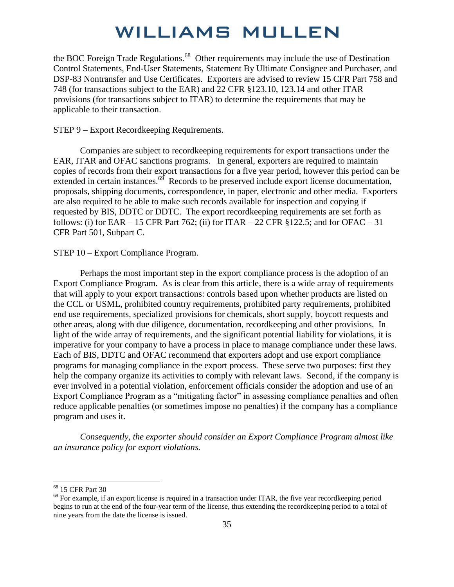the BOC Foreign Trade Regulations.<sup>68</sup> Other requirements may include the use of Destination Control Statements, End-User Statements, Statement By Ultimate Consignee and Purchaser, and DSP-83 Nontransfer and Use Certificates. Exporters are advised to review 15 CFR Part 758 and 748 (for transactions subject to the EAR) and 22 CFR §123.10, 123.14 and other ITAR provisions (for transactions subject to ITAR) to determine the requirements that may be applicable to their transaction.

#### STEP 9 – Export Recordkeeping Requirements.

 Companies are subject to recordkeeping requirements for export transactions under the EAR, ITAR and OFAC sanctions programs. In general, exporters are required to maintain copies of records from their export transactions for a five year period, however this period can be extended in certain instances. $69$  Records to be preserved include export license documentation, proposals, shipping documents, correspondence, in paper, electronic and other media. Exporters are also required to be able to make such records available for inspection and copying if requested by BIS, DDTC or DDTC. The export recordkeeping requirements are set forth as follows: (i) for EAR – 15 CFR Part 762; (ii) for ITAR – 22 CFR §122.5; and for OFAC – 31 CFR Part 501, Subpart C.

#### STEP 10 – Export Compliance Program.

Perhaps the most important step in the export compliance process is the adoption of an Export Compliance Program. As is clear from this article, there is a wide array of requirements that will apply to your export transactions: controls based upon whether products are listed on the CCL or USML, prohibited country requirements, prohibited party requirements, prohibited end use requirements, specialized provisions for chemicals, short supply, boycott requests and other areas, along with due diligence, documentation, recordkeeping and other provisions. In light of the wide array of requirements, and the significant potential liability for violations, it is imperative for your company to have a process in place to manage compliance under these laws. Each of BIS, DDTC and OFAC recommend that exporters adopt and use export compliance programs for managing compliance in the export process. These serve two purposes: first they help the company organize its activities to comply with relevant laws. Second, if the company is ever involved in a potential violation, enforcement officials consider the adoption and use of an Export Compliance Program as a "mitigating factor" in assessing compliance penalties and often reduce applicable penalties (or sometimes impose no penalties) if the company has a compliance program and uses it.

*Consequently, the exporter should consider an Export Compliance Program almost like an insurance policy for export violations.*

<sup>&</sup>lt;sup>68</sup> 15 CFR Part 30

 $69$  For example, if an export license is required in a transaction under ITAR, the five year recordkeeping period begins to run at the end of the four-year term of the license, thus extending the recordkeeping period to a total of nine years from the date the license is issued.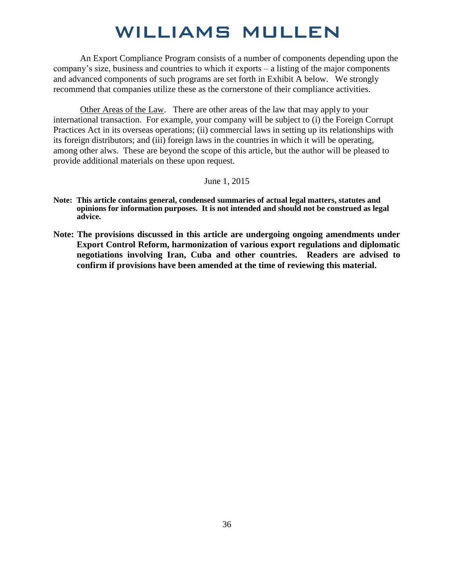An Export Compliance Program consists of a number of components depending upon the company's size, business and countries to which it exports – a listing of the major components and advanced components of such programs are set forth in Exhibit A below. We strongly recommend that companies utilize these as the cornerstone of their compliance activities.

Other Areas of the Law. There are other areas of the law that may apply to your international transaction. For example, your company will be subject to (i) the Foreign Corrupt Practices Act in its overseas operations; (ii) commercial laws in setting up its relationships with its foreign distributors; and (iii) foreign laws in the countries in which it will be operating, among other alws. These are beyond the scope of this article, but the author will be pleased to provide additional materials on these upon request.

June 1, 2015

- **Note: This article contains general, condensed summaries of actual legal matters, statutes and opinions for information purposes. It is not intended and should not be construed as legal advice.**
- **Note: The provisions discussed in this article are undergoing ongoing amendments under Export Control Reform, harmonization of various export regulations and diplomatic negotiations involving Iran, Cuba and other countries. Readers are advised to confirm if provisions have been amended at the time of reviewing this material.**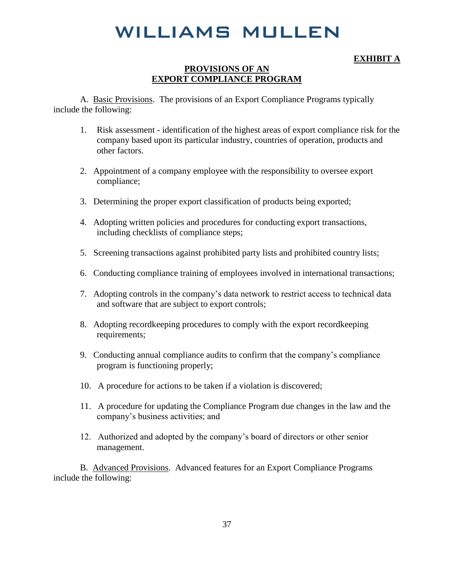#### **EXHIBIT A**

#### **PROVISIONS OF AN EXPORT COMPLIANCE PROGRAM**

A. Basic Provisions. The provisions of an Export Compliance Programs typically include the following:

- 1. Risk assessment identification of the highest areas of export compliance risk for the company based upon its particular industry, countries of operation, products and other factors.
- 2. Appointment of a company employee with the responsibility to oversee export compliance;
- 3. Determining the proper export classification of products being exported;
- 4. Adopting written policies and procedures for conducting export transactions, including checklists of compliance steps;
- 5. Screening transactions against prohibited party lists and prohibited country lists;
- 6. Conducting compliance training of employees involved in international transactions;
- 7. Adopting controls in the company's data network to restrict access to technical data and software that are subject to export controls;
- 8. Adopting recordkeeping procedures to comply with the export recordkeeping requirements;
- 9. Conducting annual compliance audits to confirm that the company's compliance program is functioning properly;
- 10. A procedure for actions to be taken if a violation is discovered;
- 11. A procedure for updating the Compliance Program due changes in the law and the company's business activities; and
- 12. Authorized and adopted by the company's board of directors or other senior management.

B. Advanced Provisions. Advanced features for an Export Compliance Programs include the following: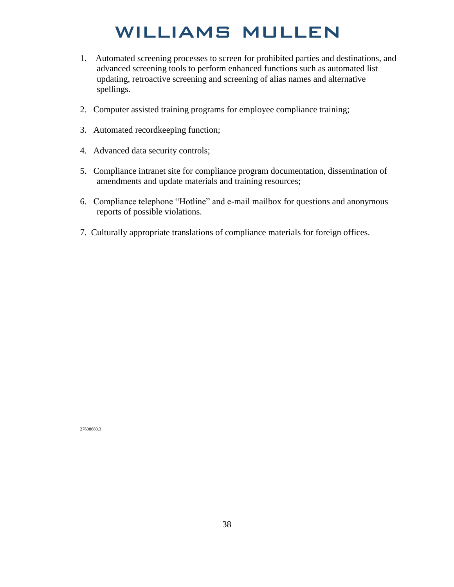- 1. Automated screening processes to screen for prohibited parties and destinations, and advanced screening tools to perform enhanced functions such as automated list updating, retroactive screening and screening of alias names and alternative spellings.
- 2. Computer assisted training programs for employee compliance training;
- 3. Automated recordkeeping function;
- 4. Advanced data security controls;
- 5. Compliance intranet site for compliance program documentation, dissemination of amendments and update materials and training resources;
- 6. Compliance telephone "Hotline" and e-mail mailbox for questions and anonymous reports of possible violations.
- 7. Culturally appropriate translations of compliance materials for foreign offices.

27698680.3